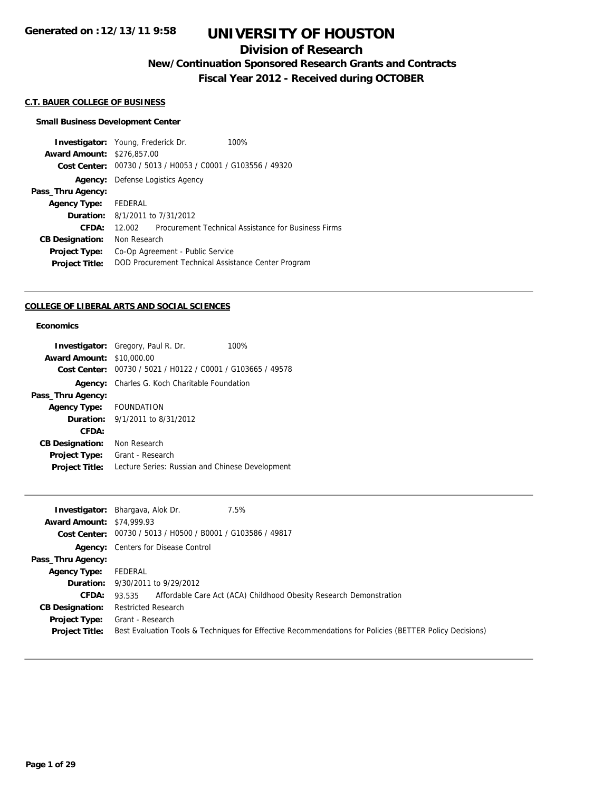## **Division of Research**

**New/Continuation Sponsored Research Grants and Contracts**

**Fiscal Year 2012 - Received during OCTOBER**

## **C.T. BAUER COLLEGE OF BUSINESS**

### **Small Business Development Center**

| <b>Investigator:</b> Young, Frederick Dr. |              |                                                | 100%                                                |
|-------------------------------------------|--------------|------------------------------------------------|-----------------------------------------------------|
| <b>Award Amount: \$276,857.00</b>         |              |                                                |                                                     |
| Cost Center:                              |              | 00730 / 5013 / H0053 / C0001 / G103556 / 49320 |                                                     |
| Agency:                                   |              | Defense Logistics Agency                       |                                                     |
| Pass_Thru Agency:                         |              |                                                |                                                     |
| <b>Agency Type:</b>                       | FEDERAL      |                                                |                                                     |
|                                           |              | <b>Duration:</b> 8/1/2011 to 7/31/2012         |                                                     |
| CFDA:                                     | 12.002 L     |                                                | Procurement Technical Assistance for Business Firms |
| <b>CB Designation:</b>                    | Non Research |                                                |                                                     |
| <b>Project Type:</b>                      |              | Co-Op Agreement - Public Service               |                                                     |
| <b>Project Title:</b>                     |              |                                                | DOD Procurement Technical Assistance Center Program |

#### **COLLEGE OF LIBERAL ARTS AND SOCIAL SCIENCES**

## **Economics**

| <b>Investigator:</b> Gregory, Paul R. Dr.                      | 100%                             |
|----------------------------------------------------------------|----------------------------------|
|                                                                |                                  |
| 00730 / 5021 / H0122 / C0001 / G103665 / 49578<br>Cost Center: |                                  |
| Charles G. Koch Charitable Foundation                          |                                  |
|                                                                |                                  |
| Agency Type: FOUNDATION                                        |                                  |
| <b>Duration:</b> 9/1/2011 to 8/31/2012                         |                                  |
|                                                                |                                  |
| Non Research                                                   |                                  |
| Grant - Research                                               |                                  |
| Lecture Series: Russian and Chinese Development                |                                  |
|                                                                | <b>Award Amount: \$10,000.00</b> |

| 7.5%<br><b>Investigator:</b> Bhargava, Alok Dr.                                                         |
|---------------------------------------------------------------------------------------------------------|
| <b>Award Amount: \$74,999.93</b>                                                                        |
| Cost Center: 00730 / 5013 / H0500 / B0001 / G103586 / 49817                                             |
| <b>Agency:</b> Centers for Disease Control                                                              |
|                                                                                                         |
| FEDERAL                                                                                                 |
| <b>Duration:</b> 9/30/2011 to 9/29/2012                                                                 |
| Affordable Care Act (ACA) Childhood Obesity Research Demonstration<br>93.535                            |
| <b>Restricted Research</b>                                                                              |
| Grant - Research                                                                                        |
| Best Evaluation Tools & Techniques for Effective Recommendations for Policies (BETTER Policy Decisions) |
|                                                                                                         |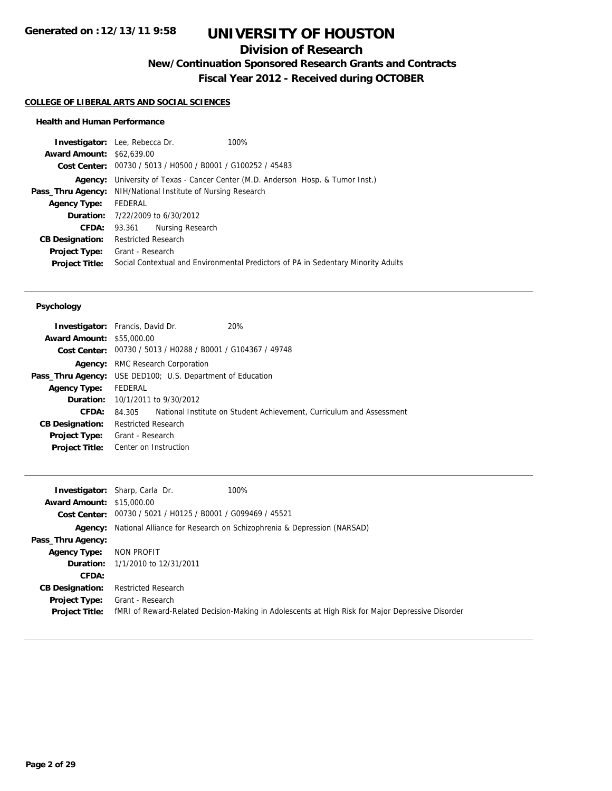# **Division of Research**

**New/Continuation Sponsored Research Grants and Contracts**

**Fiscal Year 2012 - Received during OCTOBER**

### **COLLEGE OF LIBERAL ARTS AND SOCIAL SCIENCES**

### **Health and Human Performance**

|                                  | <b>Investigator:</b> Lee, Rebecca Dr.   | 100%                                                                              |  |
|----------------------------------|-----------------------------------------|-----------------------------------------------------------------------------------|--|
| <b>Award Amount: \$62,639.00</b> |                                         |                                                                                   |  |
|                                  |                                         | Cost Center: 00730 / 5013 / H0500 / B0001 / G100252 / 45483                       |  |
| Agency:                          |                                         | University of Texas - Cancer Center (M.D. Anderson Hosp. & Tumor Inst.)           |  |
| Pass_Thru Agency:                |                                         | NIH/National Institute of Nursing Research                                        |  |
| <b>Agency Type:</b>              | FEDERAL                                 |                                                                                   |  |
|                                  | <b>Duration:</b> 7/22/2009 to 6/30/2012 |                                                                                   |  |
| CFDA:                            | 93.361                                  | Nursing Research                                                                  |  |
| <b>CB Designation:</b>           | <b>Restricted Research</b>              |                                                                                   |  |
| Project Type:                    | Grant - Research                        |                                                                                   |  |
| <b>Project Title:</b>            |                                         | Social Contextual and Environmental Predictors of PA in Sedentary Minority Adults |  |
|                                  |                                         |                                                                                   |  |

### **Psychology**

| <b>Investigator:</b> Francis, David Dr.                           |                            |                                                             | 20%                                                                  |
|-------------------------------------------------------------------|----------------------------|-------------------------------------------------------------|----------------------------------------------------------------------|
| <b>Award Amount: \$55,000.00</b>                                  |                            |                                                             |                                                                      |
|                                                                   |                            | Cost Center: 00730 / 5013 / H0288 / B0001 / G104367 / 49748 |                                                                      |
|                                                                   |                            | <b>Agency:</b> RMC Research Corporation                     |                                                                      |
| <b>Pass_Thru Agency:</b> USE DED100; U.S. Department of Education |                            |                                                             |                                                                      |
| <b>Agency Type:</b>                                               | FEDERAL                    |                                                             |                                                                      |
|                                                                   |                            | <b>Duration:</b> 10/1/2011 to 9/30/2012                     |                                                                      |
| CFDA:                                                             | 84.305                     |                                                             | National Institute on Student Achievement, Curriculum and Assessment |
| <b>CB Designation:</b>                                            | <b>Restricted Research</b> |                                                             |                                                                      |
| <b>Project Type:</b> Grant - Research                             |                            |                                                             |                                                                      |
| Project Title: Center on Instruction                              |                            |                                                             |                                                                      |
|                                                                   |                            |                                                             |                                                                      |

|                                  | 100%<br><b>Investigator:</b> Sharp, Carla Dr.                                        |                                                                                                  |
|----------------------------------|--------------------------------------------------------------------------------------|--------------------------------------------------------------------------------------------------|
| <b>Award Amount: \$15,000.00</b> |                                                                                      |                                                                                                  |
|                                  | Cost Center: 00730 / 5021 / H0125 / B0001 / G099469 / 45521                          |                                                                                                  |
|                                  | <b>Agency:</b> National Alliance for Research on Schizophrenia & Depression (NARSAD) |                                                                                                  |
| Pass_Thru Agency:                |                                                                                      |                                                                                                  |
| <b>Agency Type:</b>              | NON PROFIT                                                                           |                                                                                                  |
|                                  | <b>Duration:</b> 1/1/2010 to 12/31/2011                                              |                                                                                                  |
| CFDA:                            |                                                                                      |                                                                                                  |
| <b>CB Designation:</b>           | <b>Restricted Research</b>                                                           |                                                                                                  |
| Project Type:                    | Grant - Research                                                                     |                                                                                                  |
| <b>Project Title:</b>            |                                                                                      | fMRI of Reward-Related Decision-Making in Adolescents at High Risk for Major Depressive Disorder |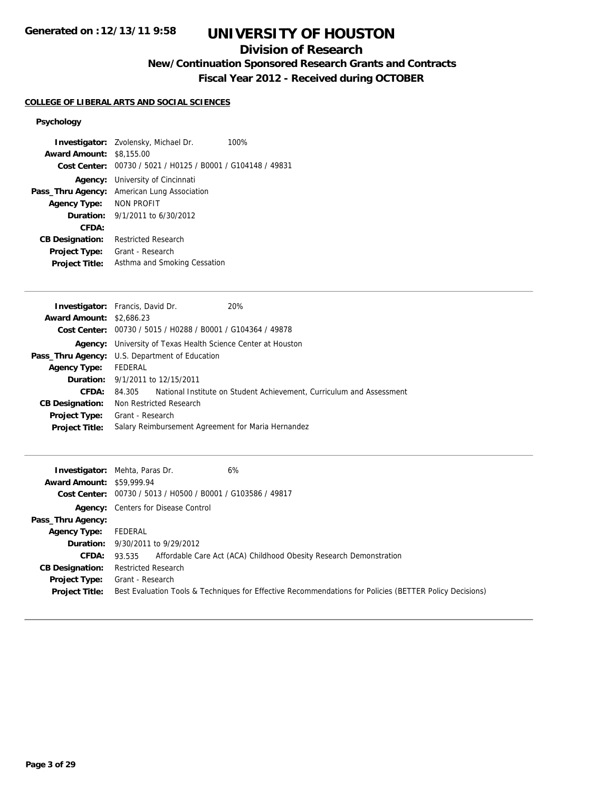# **Division of Research**

**New/Continuation Sponsored Research Grants and Contracts**

**Fiscal Year 2012 - Received during OCTOBER**

## **COLLEGE OF LIBERAL ARTS AND SOCIAL SCIENCES**

## **Psychology**

|                                 | <b>Investigator:</b> Zvolensky, Michael Dr.<br>100%         |
|---------------------------------|-------------------------------------------------------------|
| <b>Award Amount: \$8,155.00</b> |                                                             |
|                                 | Cost Center: 00730 / 5021 / H0125 / B0001 / G104148 / 49831 |
|                                 | <b>Agency:</b> University of Cincinnati                     |
| Pass_Thru Agency:               | American Lung Association                                   |
| Agency Type:                    | NON PROFIT                                                  |
|                                 | <b>Duration:</b> $9/1/2011$ to $6/30/2012$                  |
| CFDA:                           |                                                             |
| <b>CB Designation:</b>          | Restricted Research                                         |
| <b>Project Type:</b>            | Grant - Research                                            |
| <b>Project Title:</b>           | Asthma and Smoking Cessation                                |

| <b>Investigator:</b> Francis, David Dr.               |                  |                                                             | 20%                                                                         |
|-------------------------------------------------------|------------------|-------------------------------------------------------------|-----------------------------------------------------------------------------|
| <b>Award Amount: \$2,686.23</b>                       |                  |                                                             |                                                                             |
|                                                       |                  | Cost Center: 00730 / 5015 / H0288 / B0001 / G104364 / 49878 |                                                                             |
|                                                       |                  |                                                             | <b>Agency:</b> University of Texas Health Science Center at Houston         |
| <b>Pass_Thru Agency:</b> U.S. Department of Education |                  |                                                             |                                                                             |
| <b>Agency Type:</b>                                   | FEDERAL          |                                                             |                                                                             |
|                                                       |                  | <b>Duration:</b> 9/1/2011 to 12/15/2011                     |                                                                             |
| CFDA:                                                 |                  |                                                             | 84.305 National Institute on Student Achievement, Curriculum and Assessment |
| <b>CB Designation:</b>                                |                  | Non Restricted Research                                     |                                                                             |
| Project Type:                                         | Grant - Research |                                                             |                                                                             |
| <b>Project Title:</b>                                 |                  |                                                             | Salary Reimbursement Agreement for Maria Hernandez                          |
|                                                       |                  |                                                             |                                                                             |

|                                  | 6%<br><b>Investigator:</b> Mehta, Paras Dr.                                                             |
|----------------------------------|---------------------------------------------------------------------------------------------------------|
| <b>Award Amount: \$59,999.94</b> |                                                                                                         |
|                                  | Cost Center: 00730 / 5013 / H0500 / B0001 / G103586 / 49817                                             |
|                                  | <b>Agency:</b> Centers for Disease Control                                                              |
| Pass_Thru Agency:                |                                                                                                         |
| Agency Type:                     | FEDERAL                                                                                                 |
|                                  | <b>Duration:</b> 9/30/2011 to 9/29/2012                                                                 |
| <b>CFDA:</b>                     | Affordable Care Act (ACA) Childhood Obesity Research Demonstration<br>93.535                            |
| <b>CB Designation:</b>           | <b>Restricted Research</b>                                                                              |
| <b>Project Type:</b>             | Grant - Research                                                                                        |
| <b>Project Title:</b>            | Best Evaluation Tools & Techniques for Effective Recommendations for Policies (BETTER Policy Decisions) |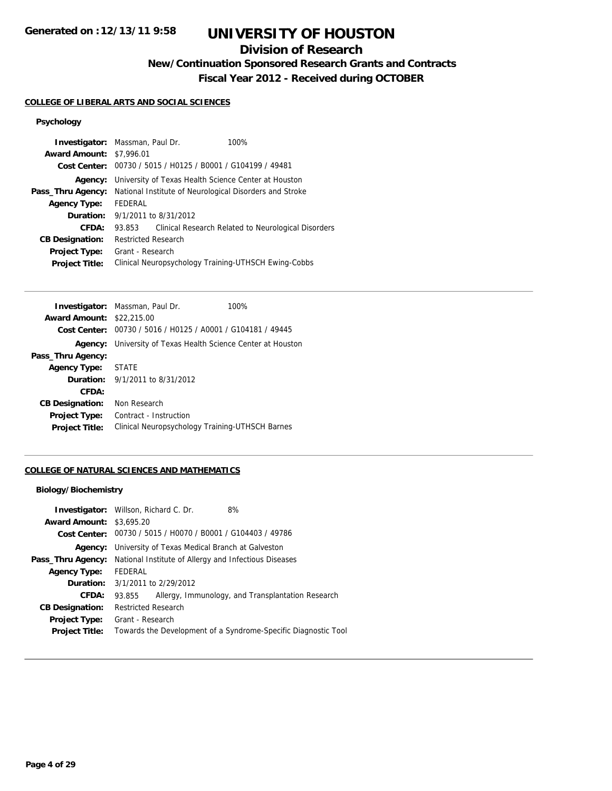# **Division of Research**

**New/Continuation Sponsored Research Grants and Contracts**

**Fiscal Year 2012 - Received during OCTOBER**

## **COLLEGE OF LIBERAL ARTS AND SOCIAL SCIENCES**

# **Psychology**

|                                 | <b>Investigator:</b> Massman, Paul Dr.                  | 100%                                                |
|---------------------------------|---------------------------------------------------------|-----------------------------------------------------|
| <b>Award Amount: \$7,996.01</b> |                                                         |                                                     |
| Cost Center:                    | 00730 / 5015 / H0125 / B0001 / G104199 / 49481          |                                                     |
| Agency:                         | University of Texas Health Science Center at Houston    |                                                     |
| Pass_Thru Agency:               | National Institute of Neurological Disorders and Stroke |                                                     |
| <b>Agency Type:</b>             | <b>FFDFRAL</b>                                          |                                                     |
| Duration:                       | 9/1/2011 to 8/31/2012                                   |                                                     |
| CFDA:                           | 93.853                                                  | Clinical Research Related to Neurological Disorders |
| <b>CB Designation:</b>          | Restricted Research                                     |                                                     |
| <b>Project Type:</b>            | Grant - Research                                        |                                                     |
| <b>Project Title:</b>           | Clinical Neuropsychology Training-UTHSCH Ewing-Cobbs    |                                                     |

|                                  | <b>Investigator:</b> Massman, Paul Dr.<br>100%              |
|----------------------------------|-------------------------------------------------------------|
| <b>Award Amount: \$22,215.00</b> |                                                             |
|                                  | Cost Center: 00730 / 5016 / H0125 / A0001 / G104181 / 49445 |
| Agency:                          | University of Texas Health Science Center at Houston        |
| Pass_Thru Agency:                |                                                             |
| <b>Agency Type:</b>              | <b>STATE</b>                                                |
|                                  | <b>Duration:</b> 9/1/2011 to 8/31/2012                      |
| CFDA:                            |                                                             |
| <b>CB Designation:</b>           | Non Research                                                |
| <b>Project Type:</b>             | Contract - Instruction                                      |
| <b>Project Title:</b>            | Clinical Neuropsychology Training-UTHSCH Barnes             |

## **COLLEGE OF NATURAL SCIENCES AND MATHEMATICS**

## **Biology/Biochemistry**

| <b>Award Amount: \$3,695.20</b> | <b>Investigator:</b> Willson, Richard C. Dr.<br>8%             |
|---------------------------------|----------------------------------------------------------------|
|                                 | Cost Center: 00730 / 5015 / H0070 / B0001 / G104403 / 49786    |
|                                 | <b>Agency:</b> University of Texas Medical Branch at Galveston |
| Pass_Thru Agency:               | National Institute of Allergy and Infectious Diseases          |
| <b>Agency Type:</b>             | FEDERAL                                                        |
| <b>Duration:</b>                | 3/1/2011 to 2/29/2012                                          |
| CFDA:                           | Allergy, Immunology, and Transplantation Research<br>93.855    |
| <b>CB Designation:</b>          | <b>Restricted Research</b>                                     |
| <b>Project Type:</b>            | Grant - Research                                               |
| <b>Project Title:</b>           | Towards the Development of a Syndrome-Specific Diagnostic Tool |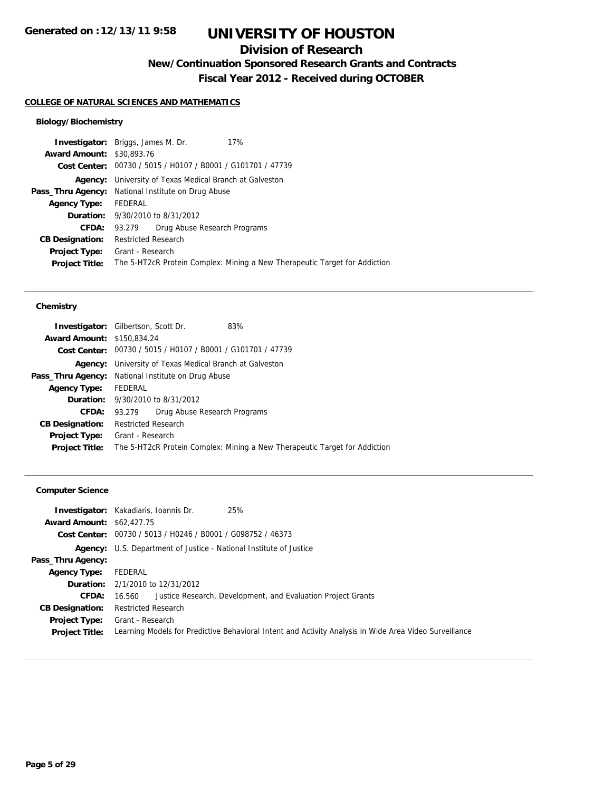# **Division of Research**

**New/Continuation Sponsored Research Grants and Contracts**

**Fiscal Year 2012 - Received during OCTOBER**

## **COLLEGE OF NATURAL SCIENCES AND MATHEMATICS**

## **Biology/Biochemistry**

|                                  | <b>Investigator:</b> Briggs, James M. Dr.<br>17%                           |
|----------------------------------|----------------------------------------------------------------------------|
| <b>Award Amount: \$30,893.76</b> |                                                                            |
|                                  | Cost Center: 00730 / 5015 / H0107 / B0001 / G101701 / 47739                |
| Agency:                          | University of Texas Medical Branch at Galveston                            |
|                                  | <b>Pass_Thru Agency:</b> National Institute on Drug Abuse                  |
| <b>Agency Type:</b>              | FEDERAL                                                                    |
|                                  | <b>Duration:</b> 9/30/2010 to 8/31/2012                                    |
| CFDA:                            | Drug Abuse Research Programs<br>93.279                                     |
| <b>CB Designation:</b>           | <b>Restricted Research</b>                                                 |
| <b>Project Type:</b>             | Grant - Research                                                           |
| <b>Project Title:</b>            | The 5-HT2cR Protein Complex: Mining a New Therapeutic Target for Addiction |
|                                  |                                                                            |

### **Chemistry**

| <b>Investigator:</b> Gilbertson, Scott Dr.                |                     |                                                             | 83%                                                                        |  |
|-----------------------------------------------------------|---------------------|-------------------------------------------------------------|----------------------------------------------------------------------------|--|
| <b>Award Amount: \$150,834.24</b>                         |                     |                                                             |                                                                            |  |
|                                                           |                     | Cost Center: 00730 / 5015 / H0107 / B0001 / G101701 / 47739 |                                                                            |  |
| Agency:                                                   |                     | University of Texas Medical Branch at Galveston             |                                                                            |  |
| <b>Pass_Thru Agency:</b> National Institute on Drug Abuse |                     |                                                             |                                                                            |  |
| <b>Agency Type:</b>                                       | FEDERAL             |                                                             |                                                                            |  |
|                                                           |                     | <b>Duration:</b> 9/30/2010 to 8/31/2012                     |                                                                            |  |
| <b>CFDA:</b>                                              | 93.279              | Drug Abuse Research Programs                                |                                                                            |  |
| <b>CB Designation:</b>                                    | Restricted Research |                                                             |                                                                            |  |
| <b>Project Type:</b>                                      | Grant - Research    |                                                             |                                                                            |  |
| <b>Project Title:</b>                                     |                     |                                                             | The 5-HT2cR Protein Complex: Mining a New Therapeutic Target for Addiction |  |
|                                                           |                     |                                                             |                                                                            |  |

## **Computer Science**

| <b>Award Amount: \$62,427.75</b>       | 25%<br><b>Investigator:</b> Kakadiaris, Ioannis Dr.<br>Cost Center: 00730 / 5013 / H0246 / B0001 / G098752 / 46373         |
|----------------------------------------|----------------------------------------------------------------------------------------------------------------------------|
|                                        | <b>Agency:</b> U.S. Department of Justice - National Institute of Justice                                                  |
| Pass_Thru Agency:                      |                                                                                                                            |
| <b>Agency Type:</b>                    | FEDERAL                                                                                                                    |
|                                        | <b>Duration:</b> 2/1/2010 to 12/31/2012                                                                                    |
| <b>CFDA:</b>                           | Justice Research, Development, and Evaluation Project Grants<br>16.560                                                     |
| <b>CB Designation:</b>                 | <b>Restricted Research</b>                                                                                                 |
| Project Type:<br><b>Project Title:</b> | Grant - Research<br>Learning Models for Predictive Behavioral Intent and Activity Analysis in Wide Area Video Surveillance |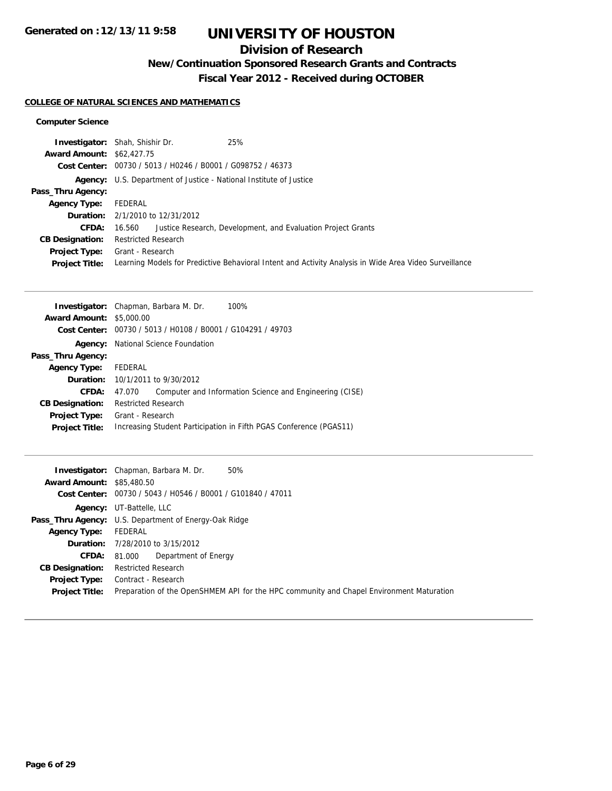# **Division of Research**

**New/Continuation Sponsored Research Grants and Contracts**

**Fiscal Year 2012 - Received during OCTOBER**

## **COLLEGE OF NATURAL SCIENCES AND MATHEMATICS**

### **Computer Science**

|                                  | 25%<br><b>Investigator:</b> Shah, Shishir Dr.                                                          |
|----------------------------------|--------------------------------------------------------------------------------------------------------|
| <b>Award Amount: \$62,427.75</b> |                                                                                                        |
|                                  | Cost Center: 00730 / 5013 / H0246 / B0001 / G098752 / 46373                                            |
|                                  | <b>Agency:</b> U.S. Department of Justice - National Institute of Justice                              |
| Pass_Thru Agency:                |                                                                                                        |
| <b>Agency Type:</b>              | FEDERAL                                                                                                |
|                                  | <b>Duration:</b> 2/1/2010 to 12/31/2012                                                                |
| <b>CFDA:</b>                     | 16.560 Justice Research, Development, and Evaluation Project Grants                                    |
| <b>CB Designation:</b>           | <b>Restricted Research</b>                                                                             |
| <b>Project Type:</b>             | Grant - Research                                                                                       |
| <b>Project Title:</b>            | Learning Models for Predictive Behavioral Intent and Activity Analysis in Wide Area Video Surveillance |

|                                 | 100%<br><b>Investigator:</b> Chapman, Barbara M. Dr.                 |
|---------------------------------|----------------------------------------------------------------------|
| <b>Award Amount: \$5,000.00</b> |                                                                      |
|                                 | <b>Cost Center:</b> $00730 / 5013 / 40108 / 80001 / 6104291 / 49703$ |
|                                 | <b>Agency:</b> National Science Foundation                           |
| Pass_Thru Agency:               |                                                                      |
| <b>Agency Type:</b>             | FEDERAL                                                              |
|                                 | <b>Duration:</b> 10/1/2011 to 9/30/2012                              |
| CFDA:                           | Computer and Information Science and Engineering (CISE)<br>47.070    |
| <b>CB Designation:</b>          | <b>Restricted Research</b>                                           |
| <b>Project Type:</b>            | Grant - Research                                                     |
| <b>Project Title:</b>           | Increasing Student Participation in Fifth PGAS Conference (PGAS11)   |
|                                 |                                                                      |

|                                  | <b>Investigator:</b> Chapman, Barbara M. Dr.<br>50%                                      |
|----------------------------------|------------------------------------------------------------------------------------------|
| <b>Award Amount: \$85,480.50</b> |                                                                                          |
|                                  | Cost Center: 00730 / 5043 / H0546 / B0001 / G101840 / 47011                              |
|                                  | Agency: UT-Battelle, LLC                                                                 |
|                                  | <b>Pass_Thru Agency:</b> U.S. Department of Energy-Oak Ridge                             |
| <b>Agency Type:</b>              | FEDERAL                                                                                  |
|                                  | <b>Duration:</b> 7/28/2010 to 3/15/2012                                                  |
| <b>CFDA:</b>                     | 81,000 Department of Energy                                                              |
| <b>CB Designation:</b>           | <b>Restricted Research</b>                                                               |
| Project Type:                    | Contract - Research                                                                      |
| <b>Project Title:</b>            | Preparation of the OpenSHMEM API for the HPC community and Chapel Environment Maturation |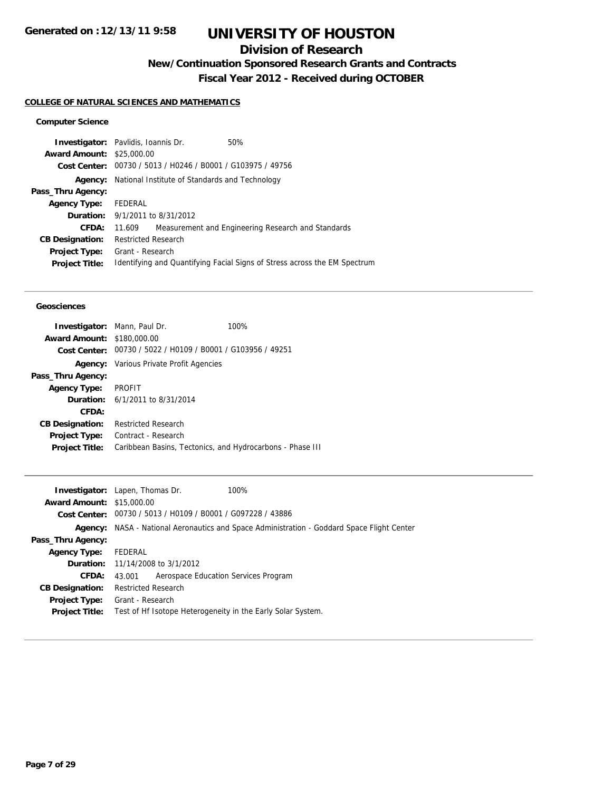# **Division of Research**

**New/Continuation Sponsored Research Grants and Contracts**

**Fiscal Year 2012 - Received during OCTOBER**

## **COLLEGE OF NATURAL SCIENCES AND MATHEMATICS**

## **Computer Science**

| <b>Investigator:</b> Pavlidis, Ioannis Dr. |                            |                                                             | 50%                                                                       |
|--------------------------------------------|----------------------------|-------------------------------------------------------------|---------------------------------------------------------------------------|
| <b>Award Amount: \$25,000.00</b>           |                            |                                                             |                                                                           |
|                                            |                            | Cost Center: 00730 / 5013 / H0246 / B0001 / G103975 / 49756 |                                                                           |
| Agency:                                    |                            | National Institute of Standards and Technology              |                                                                           |
| Pass_Thru Agency:                          |                            |                                                             |                                                                           |
| <b>Agency Type:</b>                        | FEDERAL                    |                                                             |                                                                           |
| <b>Duration:</b> $9/1/2011$ to $8/31/2012$ |                            |                                                             |                                                                           |
| CFDA:                                      | 11.609                     |                                                             | Measurement and Engineering Research and Standards                        |
| <b>CB Designation:</b>                     | <b>Restricted Research</b> |                                                             |                                                                           |
| <b>Project Type:</b>                       | Grant - Research           |                                                             |                                                                           |
| <b>Project Title:</b>                      |                            |                                                             | Identifying and Quantifying Facial Signs of Stress across the EM Spectrum |
|                                            |                            |                                                             |                                                                           |

#### **Geosciences**

|                                   | <b>Investigator:</b> Mann, Paul Dr.                         | 100% |
|-----------------------------------|-------------------------------------------------------------|------|
| <b>Award Amount: \$180,000.00</b> |                                                             |      |
|                                   | Cost Center: 00730 / 5022 / H0109 / B0001 / G103956 / 49251 |      |
|                                   | <b>Agency:</b> Various Private Profit Agencies              |      |
| Pass_Thru Agency:                 |                                                             |      |
| <b>Agency Type:</b>               | PROFIT                                                      |      |
|                                   | <b>Duration:</b> 6/1/2011 to 8/31/2014                      |      |
| CFDA:                             |                                                             |      |
| <b>CB Designation:</b>            | <b>Restricted Research</b>                                  |      |
| <b>Project Type:</b>              | Contract - Research                                         |      |
| <b>Project Title:</b>             | Caribbean Basins, Tectonics, and Hydrocarbons - Phase III   |      |
|                                   |                                                             |      |

|                                  | <b>Investigator:</b> Lapen, Thomas Dr.                      | 100%                                                                                       |
|----------------------------------|-------------------------------------------------------------|--------------------------------------------------------------------------------------------|
| <b>Award Amount: \$15,000.00</b> |                                                             |                                                                                            |
|                                  | Cost Center: 00730 / 5013 / H0109 / B0001 / G097228 / 43886 |                                                                                            |
|                                  |                                                             | Agency: NASA - National Aeronautics and Space Administration - Goddard Space Flight Center |
| Pass_Thru Agency:                |                                                             |                                                                                            |
| <b>Agency Type:</b>              | FEDERAL                                                     |                                                                                            |
|                                  | <b>Duration:</b> 11/14/2008 to 3/1/2012                     |                                                                                            |
| <b>CFDA:</b>                     | Aerospace Education Services Program<br>43.001              |                                                                                            |
| <b>CB Designation:</b>           | <b>Restricted Research</b>                                  |                                                                                            |
| Project Type:                    | Grant - Research                                            |                                                                                            |
| <b>Project Title:</b>            | Test of Hf Isotope Heterogeneity in the Early Solar System. |                                                                                            |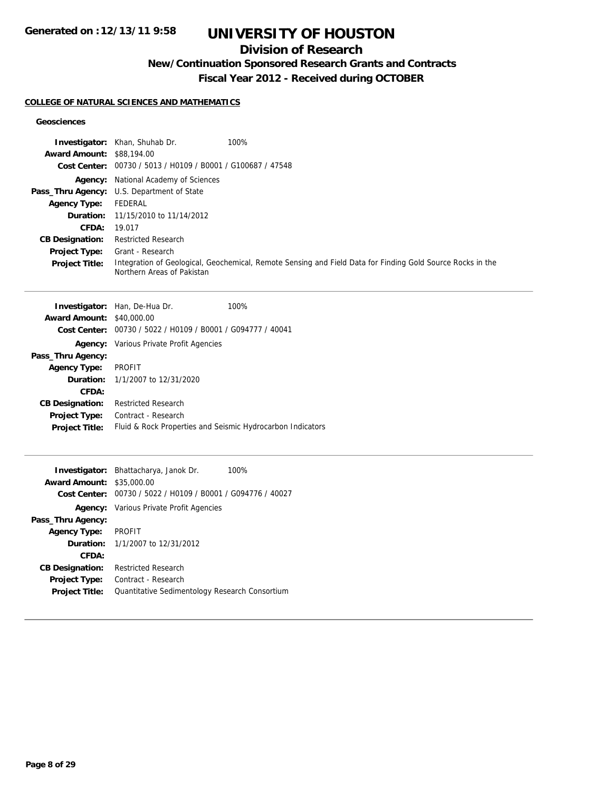# **Division of Research**

# **New/Continuation Sponsored Research Grants and Contracts**

**Fiscal Year 2012 - Received during OCTOBER**

## **COLLEGE OF NATURAL SCIENCES AND MATHEMATICS**

### **Geosciences**

|                                  | Investigator: Khan, Shuhab Dr.                              | 100%                                                                                                       |
|----------------------------------|-------------------------------------------------------------|------------------------------------------------------------------------------------------------------------|
| <b>Award Amount: \$88,194.00</b> | Cost Center: 00730 / 5013 / H0109 / B0001 / G100687 / 47548 |                                                                                                            |
|                                  | Agency: National Academy of Sciences                        |                                                                                                            |
|                                  | Pass_Thru Agency: U.S. Department of State                  |                                                                                                            |
| <b>Agency Type:</b>              | <b>FEDERAL</b>                                              |                                                                                                            |
| Duration:                        | 11/15/2010 to 11/14/2012                                    |                                                                                                            |
| CFDA:                            | 19.017                                                      |                                                                                                            |
| <b>CB Designation:</b>           | <b>Restricted Research</b>                                  |                                                                                                            |
| Project Type:                    | Grant - Research                                            |                                                                                                            |
| Project Title:                   | Northern Areas of Pakistan                                  | Integration of Geological, Geochemical, Remote Sensing and Field Data for Finding Gold Source Rocks in the |
|                                  | Investigator: Han, De-Hua Dr.                               | 100%                                                                                                       |
| <b>Award Amount: \$40,000.00</b> |                                                             |                                                                                                            |
|                                  | Cost Center: 00730 / 5022 / H0109 / B0001 / G094777 / 40041 |                                                                                                            |
|                                  | Agency: Various Private Profit Agencies                     |                                                                                                            |
| Pass_Thru Agency:                |                                                             |                                                                                                            |
| <b>Agency Type:</b>              | <b>PROFIT</b>                                               |                                                                                                            |
| Duration:                        | 1/1/2007 to 12/31/2020                                      |                                                                                                            |
| CFDA:                            |                                                             |                                                                                                            |
| <b>CB Designation:</b>           | <b>Restricted Research</b>                                  |                                                                                                            |
| Project Type:                    | Contract - Research                                         |                                                                                                            |
| <b>Project Title:</b>            | Fluid & Rock Properties and Seismic Hydrocarbon Indicators  |                                                                                                            |
|                                  | Investigator: Bhattacharya, Janok Dr.                       | 100%                                                                                                       |
| <b>Award Amount: \$35,000.00</b> |                                                             |                                                                                                            |
|                                  | Cost Center: 00730 / 5022 / H0109 / B0001 / G094776 / 40027 |                                                                                                            |
|                                  | <b>Agency:</b> Various Private Profit Agencies              |                                                                                                            |
| Pass_Thru Agency:                |                                                             |                                                                                                            |
| <b>Agency Type:</b>              | <b>PROFIT</b>                                               |                                                                                                            |
| Duration:                        | 1/1/2007 to 12/31/2012                                      |                                                                                                            |
| CFDA:                            |                                                             |                                                                                                            |
| <b>CB Designation:</b>           | <b>Restricted Research</b>                                  |                                                                                                            |
| Project Type:                    | Contract - Research                                         |                                                                                                            |
| <b>Project Title:</b>            | Quantitative Sedimentology Research Consortium              |                                                                                                            |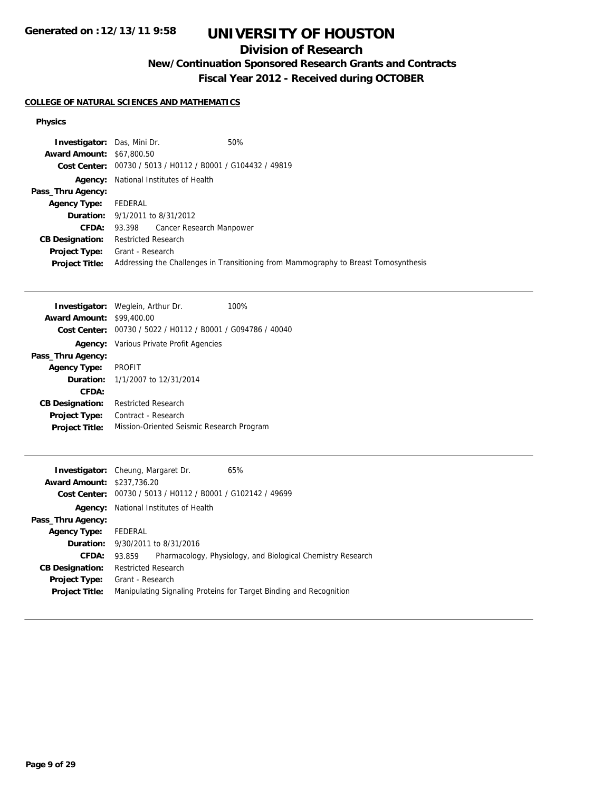# **Division of Research**

# **New/Continuation Sponsored Research Grants and Contracts**

**Fiscal Year 2012 - Received during OCTOBER**

## **COLLEGE OF NATURAL SCIENCES AND MATHEMATICS**

### **Physics**

| <b>Investigator:</b> Das, Mini Dr. |                                                             | 50%                                                                                 |
|------------------------------------|-------------------------------------------------------------|-------------------------------------------------------------------------------------|
| <b>Award Amount: \$67,800.50</b>   |                                                             |                                                                                     |
|                                    | Cost Center: 00730 / 5013 / H0112 / B0001 / G104432 / 49819 |                                                                                     |
| Agency:                            | National Institutes of Health                               |                                                                                     |
| Pass_Thru Agency:                  |                                                             |                                                                                     |
| <b>Agency Type:</b>                | FEDERAL                                                     |                                                                                     |
|                                    | <b>Duration:</b> 9/1/2011 to 8/31/2012                      |                                                                                     |
|                                    | <b>CFDA:</b> 93.398 Cancer Research Manpower                |                                                                                     |
| <b>CB Designation:</b>             | <b>Restricted Research</b>                                  |                                                                                     |
| <b>Project Type:</b>               | Grant - Research                                            |                                                                                     |
| <b>Project Title:</b>              |                                                             | Addressing the Challenges in Transitioning from Mammography to Breast Tomosynthesis |

|                                         | <b>Investigator:</b> Weglein, Arthur Dr.                    | 100% |
|-----------------------------------------|-------------------------------------------------------------|------|
| <b>Award Amount:</b>                    | \$99,400.00                                                 |      |
|                                         | Cost Center: 00730 / 5022 / H0112 / B0001 / G094786 / 40040 |      |
|                                         | <b>Agency:</b> Various Private Profit Agencies              |      |
| Pass_Thru Agency:                       |                                                             |      |
| <b>Agency Type:</b>                     | <b>PROFIT</b>                                               |      |
| <b>Duration:</b> 1/1/2007 to 12/31/2014 |                                                             |      |
| CFDA:                                   |                                                             |      |
| <b>CB Designation:</b>                  | <b>Restricted Research</b>                                  |      |
| <b>Project Type:</b>                    | Contract - Research                                         |      |
| <b>Project Title:</b>                   | Mission-Oriented Seismic Research Program                   |      |
|                                         |                                                             |      |

| <b>Investigator:</b> Cheung, Margaret Dr. |                            |                                                             | 65%                                                                |
|-------------------------------------------|----------------------------|-------------------------------------------------------------|--------------------------------------------------------------------|
| <b>Award Amount: \$237,736.20</b>         |                            |                                                             |                                                                    |
|                                           |                            | Cost Center: 00730 / 5013 / H0112 / B0001 / G102142 / 49699 |                                                                    |
| Agency:                                   |                            | National Institutes of Health                               |                                                                    |
| Pass_Thru Agency:                         |                            |                                                             |                                                                    |
| <b>Agency Type:</b>                       | FEDERAL                    |                                                             |                                                                    |
|                                           |                            | <b>Duration:</b> 9/30/2011 to 8/31/2016                     |                                                                    |
| CFDA:                                     | 93.859                     |                                                             | Pharmacology, Physiology, and Biological Chemistry Research        |
| <b>CB Designation:</b>                    | <b>Restricted Research</b> |                                                             |                                                                    |
| <b>Project Type:</b>                      | Grant - Research           |                                                             |                                                                    |
| <b>Project Title:</b>                     |                            |                                                             | Manipulating Signaling Proteins for Target Binding and Recognition |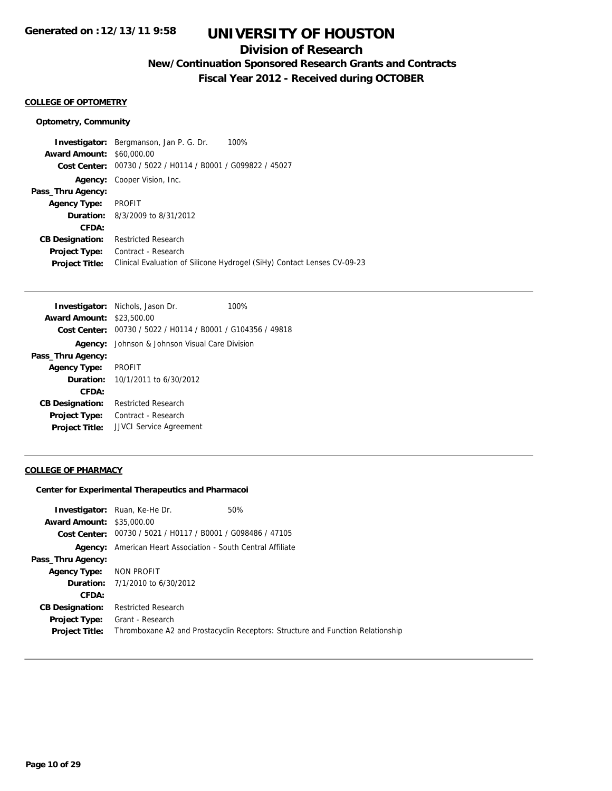## **Division of Research**

**New/Continuation Sponsored Research Grants and Contracts**

**Fiscal Year 2012 - Received during OCTOBER**

## **COLLEGE OF OPTOMETRY**

#### **Optometry, Community**

**Investigator:** Bergmanson, Jan P. G. Dr. 100% **Award Amount:** \$60,000.00 **Cost Center:** 00730 / 5022 / H0114 / B0001 / G099822 / 45027 **Agency:** Cooper Vision, Inc. **Pass\_Thru Agency: Agency Type:** PROFIT **Duration:** 8/3/2009 to 8/31/2012 **CFDA: CB Designation:** Restricted Research **Project Type:** Contract - Research **Project Title:** Clinical Evaluation of Silicone Hydrogel (SiHy) Contact Lenses CV-09-23

|                                  | <b>Investigator:</b> Nichols, Jason Dr.                     | 100% |
|----------------------------------|-------------------------------------------------------------|------|
| <b>Award Amount: \$23,500.00</b> |                                                             |      |
|                                  | Cost Center: 00730 / 5022 / H0114 / B0001 / G104356 / 49818 |      |
| Agency:                          | Johnson & Johnson Visual Care Division                      |      |
| Pass_Thru Agency:                |                                                             |      |
| <b>Agency Type:</b>              | <b>PROFIT</b>                                               |      |
|                                  | <b>Duration:</b> $10/1/2011$ to $6/30/2012$                 |      |
| CFDA:                            |                                                             |      |
| <b>CB Designation:</b>           | <b>Restricted Research</b>                                  |      |
| <b>Project Type:</b>             | Contract - Research                                         |      |
| <b>Project Title:</b>            | <b>JJVCI</b> Service Agreement                              |      |

#### **COLLEGE OF PHARMACY**

#### **Center for Experimental Therapeutics and Pharmacoi**

|                                  | <b>Investigator:</b> Ruan, Ke-He Dr.                        | 50%                                                                            |
|----------------------------------|-------------------------------------------------------------|--------------------------------------------------------------------------------|
| <b>Award Amount: \$35,000.00</b> |                                                             |                                                                                |
|                                  | Cost Center: 00730 / 5021 / H0117 / B0001 / G098486 / 47105 |                                                                                |
| Agency:                          | American Heart Association - South Central Affiliate        |                                                                                |
| Pass_Thru Agency:                |                                                             |                                                                                |
| <b>Agency Type:</b>              | NON PROFIT                                                  |                                                                                |
|                                  | <b>Duration:</b> $7/1/2010$ to $6/30/2012$                  |                                                                                |
| CFDA:                            |                                                             |                                                                                |
| <b>CB Designation:</b>           | <b>Restricted Research</b>                                  |                                                                                |
| <b>Project Type:</b>             | Grant - Research                                            |                                                                                |
| <b>Project Title:</b>            |                                                             | Thromboxane A2 and Prostacyclin Receptors: Structure and Function Relationship |
|                                  |                                                             |                                                                                |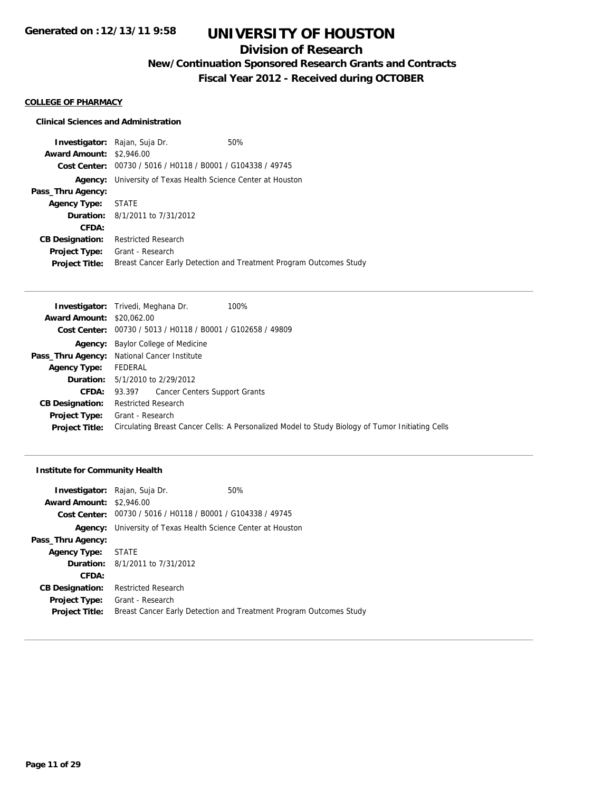# **Division of Research**

**New/Continuation Sponsored Research Grants and Contracts**

**Fiscal Year 2012 - Received during OCTOBER**

#### **COLLEGE OF PHARMACY**

### **Clinical Sciences and Administration**

**Investigator:** Rajan, Suja Dr. 60% **Award Amount:** \$2,946.00 **Cost Center:** 00730 / 5016 / H0118 / B0001 / G104338 / 49745 **Agency:** University of Texas Health Science Center at Houston **Pass\_Thru Agency: Agency Type:** STATE **Duration:** 8/1/2011 to 7/31/2012 **CFDA: CB Designation:** Restricted Research **Project Type:** Grant - Research **Project Title:** Breast Cancer Early Detection and Treatment Program Outcomes Study

|                                  | 100%<br><b>Investigator:</b> Trivedi, Meghana Dr.                                                |
|----------------------------------|--------------------------------------------------------------------------------------------------|
| <b>Award Amount: \$20,062.00</b> |                                                                                                  |
|                                  | Cost Center: 00730 / 5013 / H0118 / B0001 / G102658 / 49809                                      |
|                                  | <b>Agency:</b> Baylor College of Medicine                                                        |
|                                  | Pass_Thru Agency: National Cancer Institute                                                      |
| <b>Agency Type:</b>              | FEDERAL                                                                                          |
|                                  | <b>Duration:</b> $5/1/2010$ to $2/29/2012$                                                       |
| <b>CFDA:</b>                     | 93.397 Cancer Centers Support Grants                                                             |
| <b>CB Designation:</b>           | Restricted Research                                                                              |
|                                  | <b>Project Type:</b> Grant - Research                                                            |
| <b>Project Title:</b>            | Circulating Breast Cancer Cells: A Personalized Model to Study Biology of Tumor Initiating Cells |

#### **Institute for Community Health**

|                                 | <b>Investigator:</b> Rajan, Suja Dr.                                | 50%                                                                |
|---------------------------------|---------------------------------------------------------------------|--------------------------------------------------------------------|
| <b>Award Amount: \$2,946.00</b> |                                                                     |                                                                    |
|                                 | Cost Center: 00730 / 5016 / H0118 / B0001 / G104338 / 49745         |                                                                    |
|                                 | <b>Agency:</b> University of Texas Health Science Center at Houston |                                                                    |
| Pass_Thru Agency:               |                                                                     |                                                                    |
| Agency Type:                    | STATE                                                               |                                                                    |
|                                 | <b>Duration:</b> 8/1/2011 to 7/31/2012                              |                                                                    |
| CFDA:                           |                                                                     |                                                                    |
| <b>CB Designation:</b>          | <b>Restricted Research</b>                                          |                                                                    |
| Project Type:                   | Grant - Research                                                    |                                                                    |
| <b>Project Title:</b>           |                                                                     | Breast Cancer Early Detection and Treatment Program Outcomes Study |
|                                 |                                                                     |                                                                    |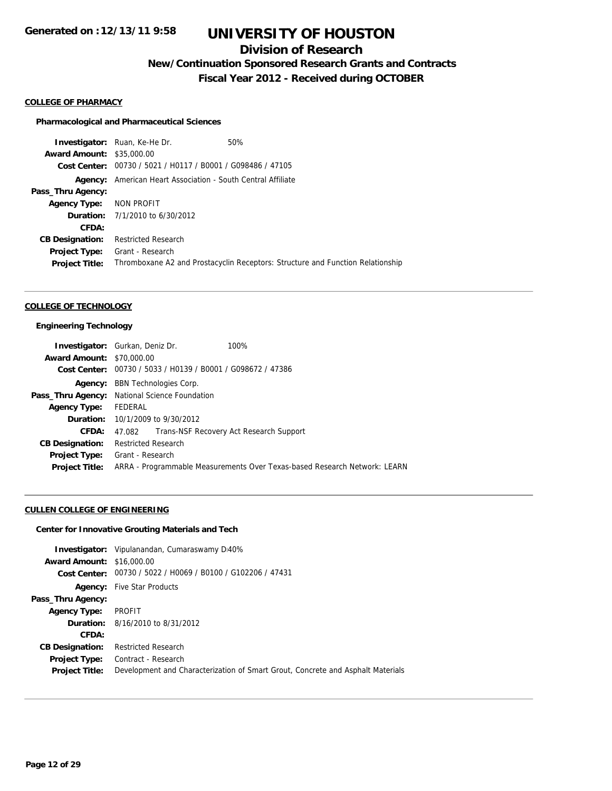# **Division of Research**

**New/Continuation Sponsored Research Grants and Contracts**

**Fiscal Year 2012 - Received during OCTOBER**

#### **COLLEGE OF PHARMACY**

#### **Pharmacological and Pharmaceutical Sciences**

**Investigator:** Ruan, Ke-He Dr. 60% **Award Amount:** \$35,000.00 **Cost Center:** 00730 / 5021 / H0117 / B0001 / G098486 / 47105 **Agency:** American Heart Association - South Central Affiliate **Pass\_Thru Agency: Agency Type:** NON PROFIT **Duration:** 7/1/2010 to 6/30/2012 **CFDA: CB Designation:** Restricted Research **Project Type:** Grant - Research **Project Title:** Thromboxane A2 and Prostacyclin Receptors: Structure and Function Relationship

#### **COLLEGE OF TECHNOLOGY**

#### **Engineering Technology**

| <b>Investigator:</b> Gurkan, Deniz Dr.        |                            |                                                             | 100%                                                                      |
|-----------------------------------------------|----------------------------|-------------------------------------------------------------|---------------------------------------------------------------------------|
| <b>Award Amount: \$70,000.00</b>              |                            |                                                             |                                                                           |
|                                               |                            | Cost Center: 00730 / 5033 / H0139 / B0001 / G098672 / 47386 |                                                                           |
| Agency:                                       |                            | <b>BBN Technologies Corp.</b>                               |                                                                           |
| Pass_Thru Agency: National Science Foundation |                            |                                                             |                                                                           |
| <b>Agency Type:</b>                           | FEDERAL                    |                                                             |                                                                           |
|                                               |                            | <b>Duration:</b> 10/1/2009 to 9/30/2012                     |                                                                           |
| CFDA:                                         | 47.082                     |                                                             | Trans-NSF Recovery Act Research Support                                   |
| <b>CB Designation:</b>                        | <b>Restricted Research</b> |                                                             |                                                                           |
| <b>Project Type:</b>                          | Grant - Research           |                                                             |                                                                           |
| <b>Project Title:</b>                         |                            |                                                             | ARRA - Programmable Measurements Over Texas-based Research Network: LEARN |

### **CULLEN COLLEGE OF ENGINEERING**

## **Center for Innovative Grouting Materials and Tech**

|                                  | <b>Investigator:</b> Vipulanandan, Cumaraswamy D40%                             |
|----------------------------------|---------------------------------------------------------------------------------|
| <b>Award Amount: \$16,000.00</b> |                                                                                 |
| Cost Center:                     | 00730 / 5022 / H0069 / B0100 / G102206 / 47431                                  |
|                                  | <b>Agency:</b> Five Star Products                                               |
| Pass_Thru Agency:                |                                                                                 |
| <b>Agency Type:</b>              | PROFIT                                                                          |
|                                  | <b>Duration:</b> 8/16/2010 to 8/31/2012                                         |
| CFDA:                            |                                                                                 |
| <b>CB Designation:</b>           | <b>Restricted Research</b>                                                      |
| <b>Project Type:</b>             | Contract - Research                                                             |
| <b>Project Title:</b>            | Development and Characterization of Smart Grout, Concrete and Asphalt Materials |
|                                  |                                                                                 |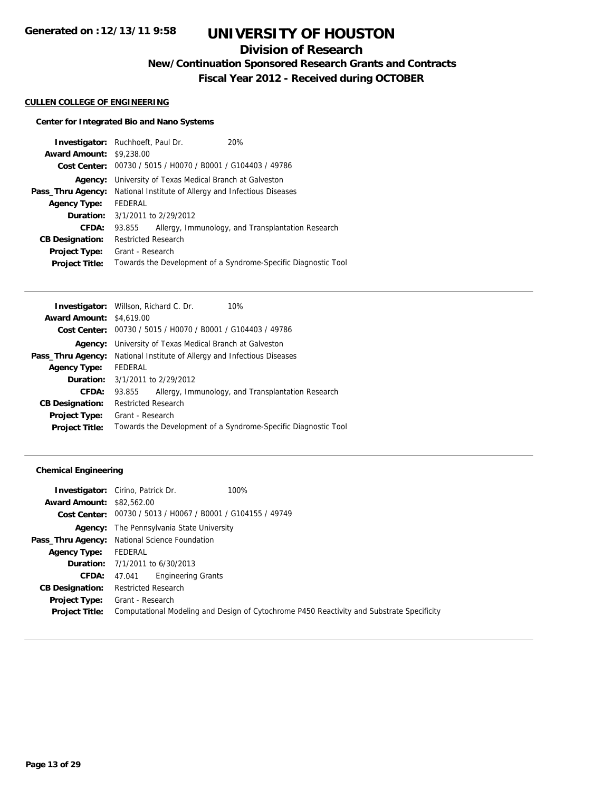# **Division of Research**

**New/Continuation Sponsored Research Grants and Contracts**

**Fiscal Year 2012 - Received during OCTOBER**

#### **CULLEN COLLEGE OF ENGINEERING**

## **Center for Integrated Bio and Nano Systems**

|                                 | <b>Investigator:</b> Ruchhoeft, Paul Dr.        | 20%                                                            |
|---------------------------------|-------------------------------------------------|----------------------------------------------------------------|
| <b>Award Amount: \$9,238,00</b> |                                                 |                                                                |
|                                 |                                                 | Cost Center: 00730 / 5015 / H0070 / B0001 / G104403 / 49786    |
| Agency:                         | University of Texas Medical Branch at Galveston |                                                                |
| Pass_Thru Agency:               |                                                 | National Institute of Allergy and Infectious Diseases          |
| <b>Agency Type:</b>             | FEDERAL                                         |                                                                |
|                                 | <b>Duration:</b> $3/1/2011$ to $2/29/2012$      |                                                                |
| <b>CFDA:</b>                    | 93.855                                          | Allergy, Immunology, and Transplantation Research              |
| <b>CB Designation:</b>          | <b>Restricted Research</b>                      |                                                                |
| <b>Project Type:</b>            | Grant - Research                                |                                                                |
| <b>Project Title:</b>           |                                                 | Towards the Development of a Syndrome-Specific Diagnostic Tool |

|                                 | <b>Investigator:</b> Willson, Richard C. Dr.<br>10%            |
|---------------------------------|----------------------------------------------------------------|
| <b>Award Amount: \$4,619.00</b> |                                                                |
|                                 | Cost Center: 00730 / 5015 / H0070 / B0001 / G104403 / 49786    |
|                                 | <b>Agency:</b> University of Texas Medical Branch at Galveston |
| Pass_Thru Agency:               | National Institute of Allergy and Infectious Diseases          |
| <b>Agency Type:</b>             | FEDERAL                                                        |
|                                 | <b>Duration:</b> 3/1/2011 to 2/29/2012                         |
| CFDA:                           | Allergy, Immunology, and Transplantation Research<br>93.855    |
| <b>CB Designation:</b>          | <b>Restricted Research</b>                                     |
| Project Type:                   | Grant - Research                                               |
| <b>Project Title:</b>           | Towards the Development of a Syndrome-Specific Diagnostic Tool |
|                                 |                                                                |

## **Chemical Engineering**

|                                  | <b>Investigator:</b> Cirino, Patrick Dr.                    | 100%                                                                                      |
|----------------------------------|-------------------------------------------------------------|-------------------------------------------------------------------------------------------|
| <b>Award Amount: \$82,562.00</b> |                                                             |                                                                                           |
|                                  | Cost Center: 00730 / 5013 / H0067 / B0001 / G104155 / 49749 |                                                                                           |
|                                  | <b>Agency:</b> The Pennsylvania State University            |                                                                                           |
|                                  | Pass_Thru Agency: National Science Foundation               |                                                                                           |
| <b>Agency Type:</b>              | FEDERAL                                                     |                                                                                           |
|                                  | <b>Duration:</b> 7/1/2011 to 6/30/2013                      |                                                                                           |
| <b>CFDA:</b>                     | <b>Engineering Grants</b><br>47.041                         |                                                                                           |
| <b>CB Designation:</b>           | <b>Restricted Research</b>                                  |                                                                                           |
| <b>Project Type:</b>             | Grant - Research                                            |                                                                                           |
| <b>Project Title:</b>            |                                                             | Computational Modeling and Design of Cytochrome P450 Reactivity and Substrate Specificity |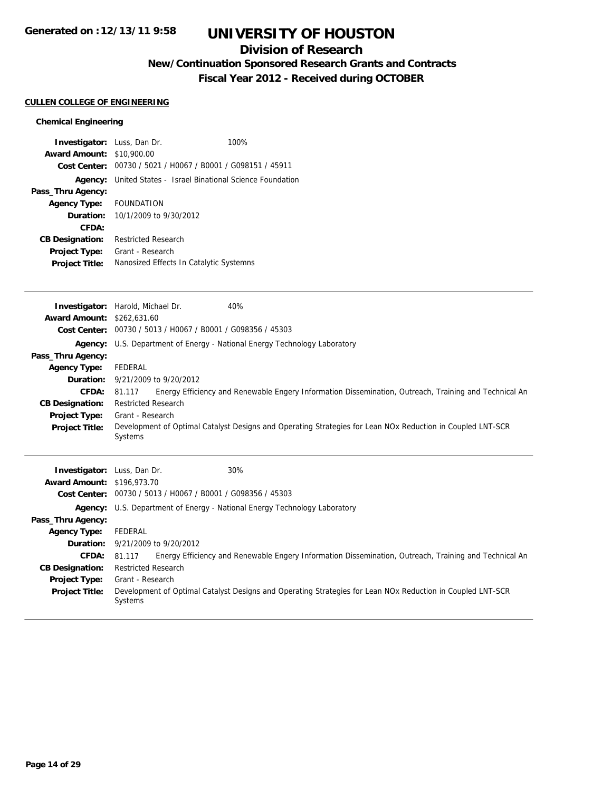# **Division of Research**

# **New/Continuation Sponsored Research Grants and Contracts**

**Fiscal Year 2012 - Received during OCTOBER**

## **CULLEN COLLEGE OF ENGINEERING**

## **Chemical Engineering**

| <b>Investigator:</b> Luss, Dan Dr. |                            | 100%                                                        |
|------------------------------------|----------------------------|-------------------------------------------------------------|
| <b>Award Amount:</b>               | \$10,900.00                |                                                             |
|                                    |                            | Cost Center: 00730 / 5021 / H0067 / B0001 / G098151 / 45911 |
| Agency:                            |                            | United States - Israel Binational Science Foundation        |
| Pass_Thru Agency:                  |                            |                                                             |
| <b>Agency Type:</b>                | <b>FOUNDATION</b>          |                                                             |
| <b>Duration:</b>                   | 10/1/2009 to 9/30/2012     |                                                             |
| CFDA:                              |                            |                                                             |
| <b>CB Designation:</b>             | <b>Restricted Research</b> |                                                             |
| <b>Project Type:</b>               | Grant - Research           |                                                             |
| <b>Project Title:</b>              |                            | Nanosized Effects In Catalytic Systemns                     |

|                                    | 40%<br>Investigator: Harold, Michael Dr.                                                                              |
|------------------------------------|-----------------------------------------------------------------------------------------------------------------------|
| <b>Award Amount: \$262,631.60</b>  |                                                                                                                       |
| <b>Cost Center:</b>                | 00730 / 5013 / H0067 / B0001 / G098356 / 45303                                                                        |
| Agency:                            | U.S. Department of Energy - National Energy Technology Laboratory                                                     |
| Pass_Thru Agency:                  |                                                                                                                       |
| <b>Agency Type:</b>                | FEDERAL                                                                                                               |
| Duration:                          | 9/21/2009 to 9/20/2012                                                                                                |
| <b>CFDA:</b>                       | Energy Efficiency and Renewable Engery Information Dissemination, Outreach, Training and Technical An<br>81.117       |
| <b>CB Designation:</b>             | <b>Restricted Research</b>                                                                                            |
| <b>Project Type:</b>               | Grant - Research                                                                                                      |
| <b>Project Title:</b>              | Development of Optimal Catalyst Designs and Operating Strategies for Lean NOx Reduction in Coupled LNT-SCR<br>Systems |
|                                    |                                                                                                                       |
|                                    |                                                                                                                       |
| <b>Investigator:</b> Luss, Dan Dr. | 30%                                                                                                                   |
| <b>Award Amount: \$196,973.70</b>  |                                                                                                                       |
| <b>Cost Center:</b>                | 00730 / 5013 / H0067 / B0001 / G098356 / 45303                                                                        |
| Agency:                            | U.S. Department of Energy - National Energy Technology Laboratory                                                     |
| Pass_Thru Agency:                  |                                                                                                                       |
| <b>Agency Type:</b>                | FEDERAL                                                                                                               |
|                                    | <b>Duration:</b> 9/21/2009 to 9/20/2012                                                                               |
| CFDA:                              | Energy Efficiency and Renewable Engery Information Dissemination, Outreach, Training and Technical An<br>81.117       |
| <b>CB Designation:</b>             | <b>Restricted Research</b>                                                                                            |
| Project Type:                      | Grant - Research                                                                                                      |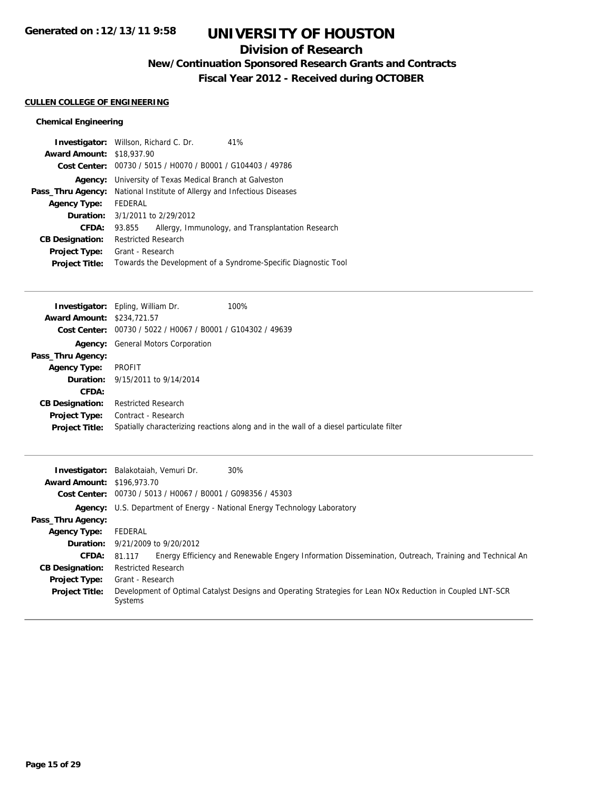# **Division of Research**

**New/Continuation Sponsored Research Grants and Contracts**

**Fiscal Year 2012 - Received during OCTOBER**

## **CULLEN COLLEGE OF ENGINEERING**

## **Chemical Engineering**

| 41%<br><b>Investigator:</b> Willson, Richard C. Dr.            |  |  |
|----------------------------------------------------------------|--|--|
| <b>Award Amount: \$18,937.90</b>                               |  |  |
| Cost Center: 00730 / 5015 / H0070 / B0001 / G104403 / 49786    |  |  |
| <b>Agency:</b> University of Texas Medical Branch at Galveston |  |  |
| National Institute of Allergy and Infectious Diseases          |  |  |
| FEDERAL                                                        |  |  |
| <b>Duration:</b> 3/1/2011 to 2/29/2012                         |  |  |
| Allergy, Immunology, and Transplantation Research<br>93.855    |  |  |
| <b>Restricted Research</b>                                     |  |  |
| Grant - Research                                               |  |  |
| Towards the Development of a Syndrome-Specific Diagnostic Tool |  |  |
|                                                                |  |  |

|                                   | <b>Investigator:</b> Epling, William Dr.                    | 100%                                                                                    |
|-----------------------------------|-------------------------------------------------------------|-----------------------------------------------------------------------------------------|
| <b>Award Amount: \$234,721.57</b> |                                                             |                                                                                         |
|                                   | Cost Center: 00730 / 5022 / H0067 / B0001 / G104302 / 49639 |                                                                                         |
|                                   | <b>Agency:</b> General Motors Corporation                   |                                                                                         |
| Pass_Thru Agency:                 |                                                             |                                                                                         |
| <b>Agency Type:</b>               | PROFIT                                                      |                                                                                         |
|                                   | <b>Duration:</b> 9/15/2011 to 9/14/2014                     |                                                                                         |
| CFDA:                             |                                                             |                                                                                         |
| <b>CB Designation:</b>            | <b>Restricted Research</b>                                  |                                                                                         |
| <b>Project Type:</b>              | Contract - Research                                         |                                                                                         |
| <b>Project Title:</b>             |                                                             | Spatially characterizing reactions along and in the wall of a diesel particulate filter |
|                                   |                                                             |                                                                                         |

| <b>Award Amount: \$196,973.70</b> | 30%<br>Investigator: Balakotaiah, Vemuri Dr.                                                                          |  |  |
|-----------------------------------|-----------------------------------------------------------------------------------------------------------------------|--|--|
|                                   | Cost Center: 00730 / 5013 / H0067 / B0001 / G098356 / 45303                                                           |  |  |
|                                   | <b>Agency:</b> U.S. Department of Energy - National Energy Technology Laboratory                                      |  |  |
| Pass_Thru Agency:                 |                                                                                                                       |  |  |
| <b>Agency Type:</b>               | FEDERAL                                                                                                               |  |  |
|                                   | <b>Duration:</b> $9/21/2009$ to $9/20/2012$                                                                           |  |  |
| <b>CFDA:</b>                      | Energy Efficiency and Renewable Engery Information Dissemination, Outreach, Training and Technical An<br>81.117       |  |  |
| <b>CB Designation:</b>            | <b>Restricted Research</b>                                                                                            |  |  |
| <b>Project Type:</b>              | Grant - Research                                                                                                      |  |  |
| <b>Project Title:</b>             | Development of Optimal Catalyst Designs and Operating Strategies for Lean NOx Reduction in Coupled LNT-SCR<br>Systems |  |  |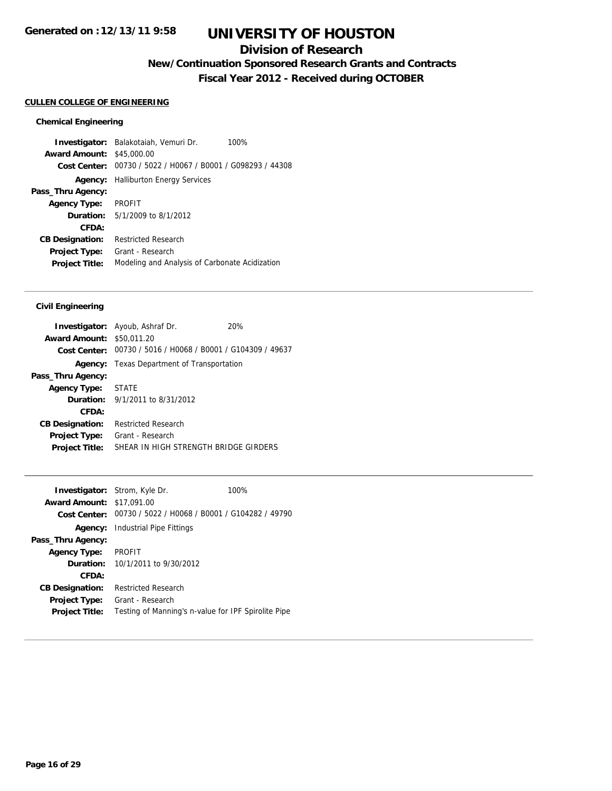## **Division of Research**

**New/Continuation Sponsored Research Grants and Contracts**

**Fiscal Year 2012 - Received during OCTOBER**

#### **CULLEN COLLEGE OF ENGINEERING**

#### **Chemical Engineering**

**Investigator:** Balakotaiah, Vemuri Dr. 100% **Award Amount:** \$45,000.00 **Cost Center:** 00730 / 5022 / H0067 / B0001 / G098293 / 44308 **Agency:** Halliburton Energy Services **Pass\_Thru Agency: Agency Type:** PROFIT **Duration:** 5/1/2009 to 8/1/2012 **CFDA: CB Designation:** Restricted Research **Project Type:** Grant - Research **Project Title:** Modeling and Analysis of Carbonate Acidization

### **Civil Engineering**

|                                  | <b>Investigator:</b> Ayoub, Ashraf Dr.                      | 20% |
|----------------------------------|-------------------------------------------------------------|-----|
| <b>Award Amount: \$50,011.20</b> |                                                             |     |
|                                  | Cost Center: 00730 / 5016 / H0068 / B0001 / G104309 / 49637 |     |
| Agency:                          | Texas Department of Transportation                          |     |
| Pass_Thru Agency:                |                                                             |     |
| Agency Type: STATE               |                                                             |     |
|                                  | <b>Duration:</b> $9/1/2011$ to $8/31/2012$                  |     |
| CFDA:                            |                                                             |     |
| <b>CB Designation:</b>           | Restricted Research                                         |     |
| <b>Project Type:</b>             | Grant - Research                                            |     |
| <b>Project Title:</b>            | SHEAR IN HIGH STRENGTH BRIDGE GIRDERS                       |     |

|                                  | <b>Investigator:</b> Strom, Kyle Dr.                        | 100% |
|----------------------------------|-------------------------------------------------------------|------|
| <b>Award Amount: \$17,091,00</b> |                                                             |      |
|                                  | Cost Center: 00730 / 5022 / H0068 / B0001 / G104282 / 49790 |      |
|                                  | <b>Agency:</b> Industrial Pipe Fittings                     |      |
| Pass_Thru Agency:                |                                                             |      |
| <b>Agency Type:</b>              | <b>PROFIT</b>                                               |      |
|                                  | <b>Duration:</b> $10/1/2011$ to $9/30/2012$                 |      |
| CFDA:                            |                                                             |      |
| <b>CB Designation:</b>           | <b>Restricted Research</b>                                  |      |
| <b>Project Type:</b>             | Grant - Research                                            |      |
| <b>Project Title:</b>            | Testing of Manning's n-value for IPF Spirolite Pipe         |      |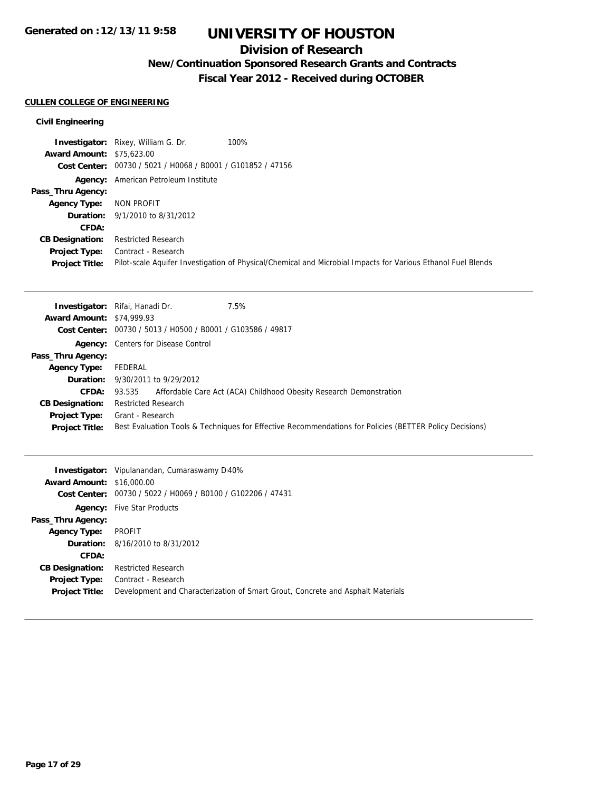## **Division of Research**

# **New/Continuation Sponsored Research Grants and Contracts**

**Fiscal Year 2012 - Received during OCTOBER**

## **CULLEN COLLEGE OF ENGINEERING**

## **Civil Engineering**

|                                  | <b>Investigator:</b> Rixey, William G. Dr.<br>100%                                                           |
|----------------------------------|--------------------------------------------------------------------------------------------------------------|
| <b>Award Amount: \$75,623.00</b> |                                                                                                              |
|                                  | Cost Center: 00730 / 5021 / H0068 / B0001 / G101852 / 47156                                                  |
|                                  | <b>Agency:</b> American Petroleum Institute                                                                  |
| Pass_Thru Agency:                |                                                                                                              |
| <b>Agency Type:</b>              | NON PROFIT                                                                                                   |
|                                  | <b>Duration:</b> 9/1/2010 to 8/31/2012                                                                       |
| <b>CFDA:</b>                     |                                                                                                              |
| <b>CB Designation:</b>           | <b>Restricted Research</b>                                                                                   |
| <b>Project Type:</b>             | Contract - Research                                                                                          |
| <b>Project Title:</b>            | Pilot-scale Aquifer Investigation of Physical/Chemical and Microbial Impacts for Various Ethanol Fuel Blends |

|                                  | 7.5%<br><b>Investigator:</b> Rifai, Hanadi Dr.                                                          |
|----------------------------------|---------------------------------------------------------------------------------------------------------|
| <b>Award Amount: \$74,999.93</b> |                                                                                                         |
|                                  | Cost Center: 00730 / 5013 / H0500 / B0001 / G103586 / 49817                                             |
|                                  | <b>Agency:</b> Centers for Disease Control                                                              |
| Pass_Thru Agency:                |                                                                                                         |
| <b>Agency Type:</b>              | FEDERAL                                                                                                 |
|                                  | <b>Duration:</b> 9/30/2011 to 9/29/2012                                                                 |
| <b>CFDA:</b>                     | Affordable Care Act (ACA) Childhood Obesity Research Demonstration<br>93.535                            |
| <b>CB Designation:</b>           | <b>Restricted Research</b>                                                                              |
| Project Type:                    | Grant - Research                                                                                        |
| <b>Project Title:</b>            | Best Evaluation Tools & Techniques for Effective Recommendations for Policies (BETTER Policy Decisions) |

|                                  | <b>Investigator:</b> Vipulanandan, Cumaraswamy D40%                             |
|----------------------------------|---------------------------------------------------------------------------------|
| <b>Award Amount: \$16,000.00</b> |                                                                                 |
|                                  | Cost Center: 00730 / 5022 / H0069 / B0100 / G102206 / 47431                     |
|                                  | <b>Agency:</b> Five Star Products                                               |
| Pass_Thru Agency:                |                                                                                 |
| <b>Agency Type:</b>              | PROFIT                                                                          |
|                                  | <b>Duration:</b> 8/16/2010 to 8/31/2012                                         |
| CFDA:                            |                                                                                 |
| <b>CB Designation:</b>           | <b>Restricted Research</b>                                                      |
| <b>Project Type:</b>             | Contract - Research                                                             |
| <b>Project Title:</b>            | Development and Characterization of Smart Grout, Concrete and Asphalt Materials |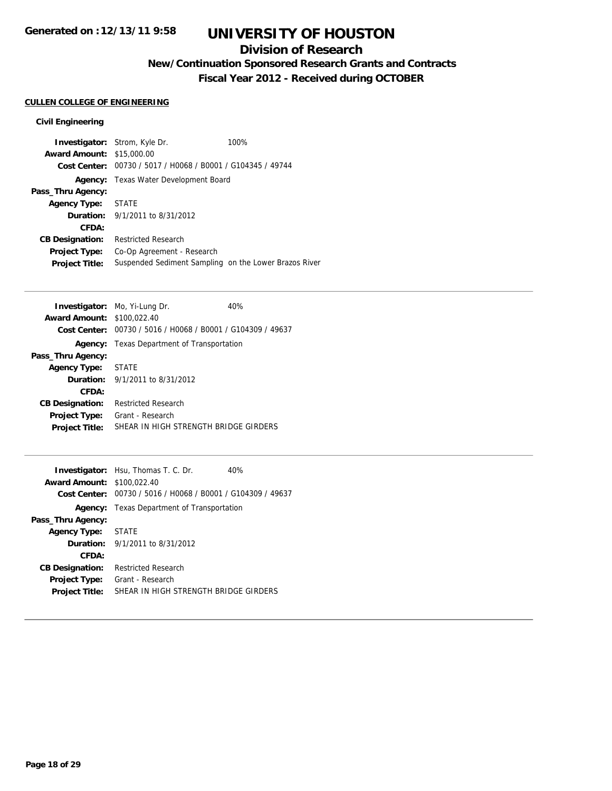## **Division of Research**

**New/Continuation Sponsored Research Grants and Contracts**

**Fiscal Year 2012 - Received during OCTOBER**

## **CULLEN COLLEGE OF ENGINEERING**

## **Civil Engineering**

| <b>Investigator:</b> Strom, Kyle Dr. |                                                             | 100% |
|--------------------------------------|-------------------------------------------------------------|------|
| <b>Award Amount: \$15,000.00</b>     |                                                             |      |
|                                      | Cost Center: 00730 / 5017 / H0068 / B0001 / G104345 / 49744 |      |
|                                      | Agency: Texas Water Development Board                       |      |
| Pass_Thru Agency:                    |                                                             |      |
| Agency Type: STATE                   |                                                             |      |
|                                      | <b>Duration:</b> 9/1/2011 to 8/31/2012                      |      |
| CFDA:                                |                                                             |      |
| <b>CB Designation:</b>               | <b>Restricted Research</b>                                  |      |
| Project Type:                        | Co-Op Agreement - Research                                  |      |
| <b>Project Title:</b>                | Suspended Sediment Sampling on the Lower Brazos River       |      |

|                                   | <b>Investigator:</b> Mo, Yi-Lung Dr.                        | 40% |
|-----------------------------------|-------------------------------------------------------------|-----|
| <b>Award Amount: \$100.022.40</b> |                                                             |     |
|                                   | Cost Center: 00730 / 5016 / H0068 / B0001 / G104309 / 49637 |     |
|                                   | <b>Agency:</b> Texas Department of Transportation           |     |
| Pass_Thru Agency:                 |                                                             |     |
| <b>Agency Type:</b>               | <b>STATE</b>                                                |     |
|                                   | <b>Duration:</b> $9/1/2011$ to $8/31/2012$                  |     |
| CFDA:                             |                                                             |     |
| <b>CB Designation:</b>            | <b>Restricted Research</b>                                  |     |
| <b>Project Type:</b>              | Grant - Research                                            |     |
| <b>Project Title:</b>             | SHEAR IN HIGH STRENGTH BRIDGE GIRDERS                       |     |
|                                   |                                                             |     |

|                                   | <b>Investigator:</b> Hsu, Thomas T. C. Dr.                  | 40% |
|-----------------------------------|-------------------------------------------------------------|-----|
| <b>Award Amount: \$100.022.40</b> |                                                             |     |
|                                   | Cost Center: 00730 / 5016 / H0068 / B0001 / G104309 / 49637 |     |
|                                   | <b>Agency:</b> Texas Department of Transportation           |     |
| Pass_Thru Agency:                 |                                                             |     |
| <b>Agency Type:</b>               | <b>STATE</b>                                                |     |
|                                   | <b>Duration:</b> $9/1/2011$ to $8/31/2012$                  |     |
| CFDA:                             |                                                             |     |
| <b>CB Designation:</b>            | <b>Restricted Research</b>                                  |     |
| <b>Project Type:</b>              | Grant - Research                                            |     |
| <b>Project Title:</b>             | SHEAR IN HIGH STRENGTH BRIDGE GIRDERS                       |     |
|                                   |                                                             |     |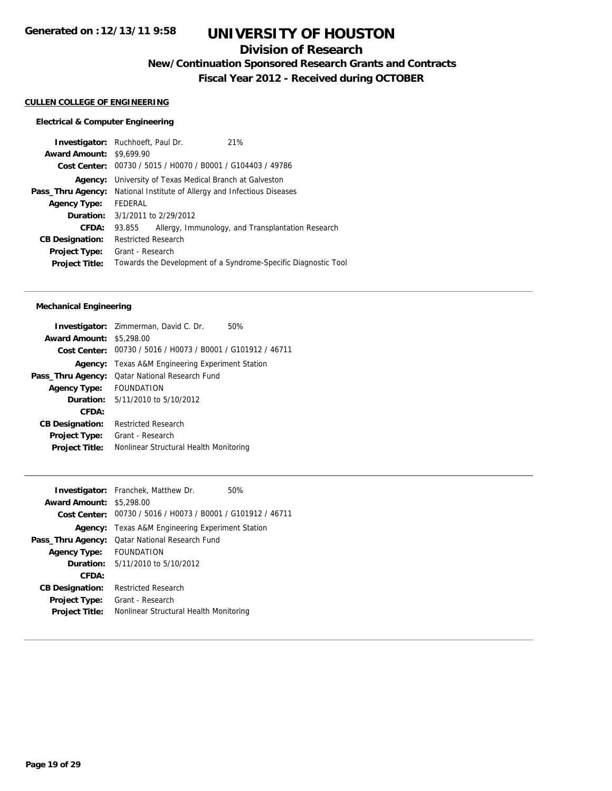# **Division of Research**

**New/Continuation Sponsored Research Grants and Contracts**

**Fiscal Year 2012 - Received during OCTOBER**

#### **CULLEN COLLEGE OF ENGINEERING**

## **Electrical & Computer Engineering**

|                                 | <b>Investigator:</b> Ruchhoeft, Paul Dr.                    |  | 21%                                                            |
|---------------------------------|-------------------------------------------------------------|--|----------------------------------------------------------------|
| <b>Award Amount: \$9,699.90</b> |                                                             |  |                                                                |
|                                 | Cost Center: 00730 / 5015 / H0070 / B0001 / G104403 / 49786 |  |                                                                |
| Agency:                         | University of Texas Medical Branch at Galveston             |  |                                                                |
| Pass_Thru Agency:               | National Institute of Allergy and Infectious Diseases       |  |                                                                |
| <b>Agency Type:</b>             | FEDERAL                                                     |  |                                                                |
|                                 | <b>Duration:</b> 3/1/2011 to 2/29/2012                      |  |                                                                |
| CFDA:                           | 93.855                                                      |  | Allergy, Immunology, and Transplantation Research              |
| <b>CB Designation:</b>          | <b>Restricted Research</b>                                  |  |                                                                |
| <b>Project Type:</b>            | Grant - Research                                            |  |                                                                |
| <b>Project Title:</b>           |                                                             |  | Towards the Development of a Syndrome-Specific Diagnostic Tool |

## **Mechanical Engineering**

|                                 | <b>Investigator:</b> Zimmerman, David C. Dr.<br>50%         |
|---------------------------------|-------------------------------------------------------------|
| <b>Award Amount: \$5,298.00</b> |                                                             |
|                                 | Cost Center: 00730 / 5016 / H0073 / B0001 / G101912 / 46711 |
|                                 | <b>Agency:</b> Texas A&M Engineering Experiment Station     |
| Pass_Thru Agency:               | <b>Qatar National Research Fund</b>                         |
| Agency Type:                    | <b>FOUNDATION</b>                                           |
|                                 | <b>Duration:</b> $5/11/2010$ to $5/10/2012$                 |
| CFDA:                           |                                                             |
| <b>CB Designation:</b>          | <b>Restricted Research</b>                                  |
| <b>Project Type:</b>            | Grant - Research                                            |
| <b>Project Title:</b>           | Nonlinear Structural Health Monitoring                      |
|                                 |                                                             |

| <b>Investigator:</b> Franchek, Matthew Dr.                  | 50% |
|-------------------------------------------------------------|-----|
| <b>Award Amount: \$5,298.00</b>                             |     |
| Cost Center: 00730 / 5016 / H0073 / B0001 / G101912 / 46711 |     |
| <b>Agency:</b> Texas A&M Engineering Experiment Station     |     |
| <b>Qatar National Research Fund</b>                         |     |
| FOUNDATION                                                  |     |
| <b>Duration:</b> $5/11/2010$ to $5/10/2012$                 |     |
|                                                             |     |
| <b>Restricted Research</b>                                  |     |
| Grant - Research                                            |     |
| Nonlinear Structural Health Monitoring                      |     |
|                                                             |     |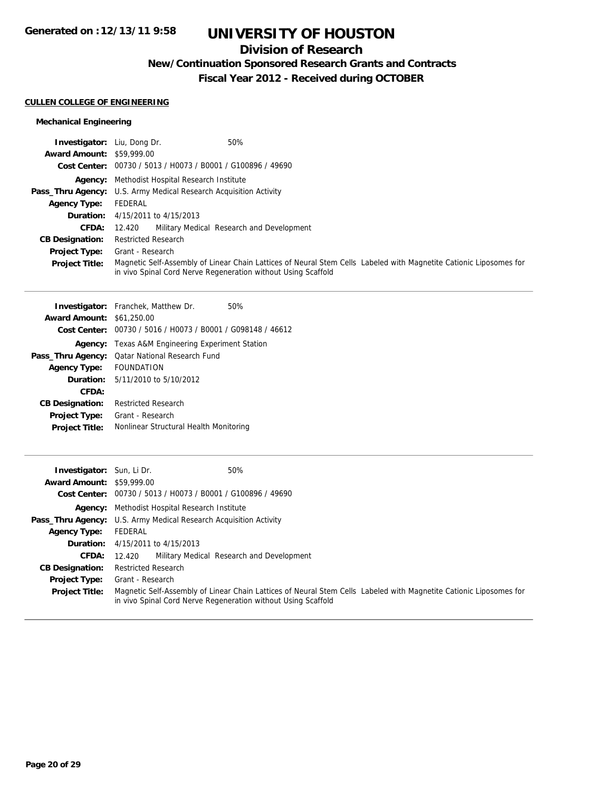# **Division of Research**

**New/Continuation Sponsored Research Grants and Contracts**

**Fiscal Year 2012 - Received during OCTOBER**

## **CULLEN COLLEGE OF ENGINEERING**

## **Mechanical Engineering**

| <b>Investigator:</b> Liu, Dong Dr. | 50%                                                                                                                                                                                 |  |  |
|------------------------------------|-------------------------------------------------------------------------------------------------------------------------------------------------------------------------------------|--|--|
| <b>Award Amount: \$59,999.00</b>   |                                                                                                                                                                                     |  |  |
|                                    | Cost Center: 00730 / 5013 / H0073 / B0001 / G100896 / 49690                                                                                                                         |  |  |
|                                    | <b>Agency:</b> Methodist Hospital Research Institute                                                                                                                                |  |  |
|                                    | <b>Pass_Thru Agency:</b> U.S. Army Medical Research Acquisition Activity                                                                                                            |  |  |
| <b>Agency Type:</b>                | FEDERAL                                                                                                                                                                             |  |  |
|                                    | <b>Duration:</b> 4/15/2011 to 4/15/2013                                                                                                                                             |  |  |
| <b>CFDA:</b>                       | Military Medical Research and Development<br>12.420                                                                                                                                 |  |  |
| <b>CB Designation:</b>             | <b>Restricted Research</b>                                                                                                                                                          |  |  |
| <b>Project Type:</b>               | Grant - Research                                                                                                                                                                    |  |  |
| <b>Project Title:</b>              | Magnetic Self-Assembly of Linear Chain Lattices of Neural Stem Cells Labeled with Magnetite Cationic Liposomes for<br>in vivo Spinal Cord Nerve Regeneration without Using Scaffold |  |  |

|                                  | <b>Investigator:</b> Franchek, Matthew Dr.                  | 50% |
|----------------------------------|-------------------------------------------------------------|-----|
| <b>Award Amount: \$61,250.00</b> |                                                             |     |
|                                  | Cost Center: 00730 / 5016 / H0073 / B0001 / G098148 / 46612 |     |
| Agency:                          | Texas A&M Engineering Experiment Station                    |     |
| Pass_Thru Agency:                | <b>Qatar National Research Fund</b>                         |     |
| <b>Agency Type:</b>              | <b>FOUNDATION</b>                                           |     |
|                                  | <b>Duration:</b> $5/11/2010$ to $5/10/2012$                 |     |
| CFDA:                            |                                                             |     |
| <b>CB Designation:</b>           | <b>Restricted Research</b>                                  |     |
| <b>Project Type:</b>             | Grant - Research                                            |     |
| <b>Project Title:</b>            | Nonlinear Structural Health Monitoring                      |     |
|                                  |                                                             |     |

| <b>Investigator:</b> Sun, Li Dr. | 50%                                                                                                                                                                                 |  |  |
|----------------------------------|-------------------------------------------------------------------------------------------------------------------------------------------------------------------------------------|--|--|
| <b>Award Amount: \$59,999.00</b> |                                                                                                                                                                                     |  |  |
| <b>Cost Center:</b>              | 00730 / 5013 / H0073 / B0001 / G100896 / 49690                                                                                                                                      |  |  |
|                                  | Agency: Methodist Hospital Research Institute                                                                                                                                       |  |  |
|                                  | <b>Pass_Thru Agency:</b> U.S. Army Medical Research Acquisition Activity                                                                                                            |  |  |
| <b>Agency Type:</b>              | FEDERAL                                                                                                                                                                             |  |  |
|                                  | <b>Duration:</b> 4/15/2011 to 4/15/2013                                                                                                                                             |  |  |
| <b>CFDA:</b>                     | Military Medical Research and Development<br>12.420                                                                                                                                 |  |  |
| <b>CB Designation:</b>           | <b>Restricted Research</b>                                                                                                                                                          |  |  |
| <b>Project Type:</b>             | Grant - Research                                                                                                                                                                    |  |  |
| <b>Project Title:</b>            | Magnetic Self-Assembly of Linear Chain Lattices of Neural Stem Cells Labeled with Magnetite Cationic Liposomes for<br>in vivo Spinal Cord Nerve Regeneration without Using Scaffold |  |  |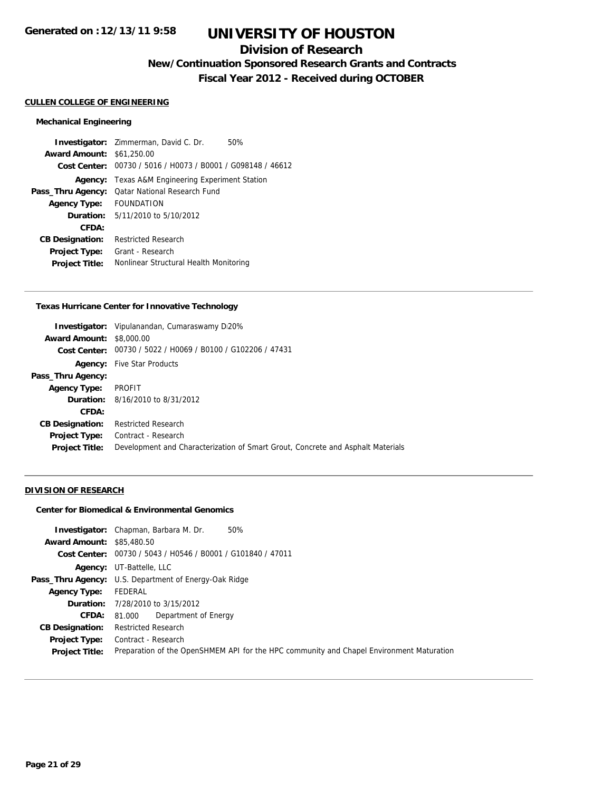## **Division of Research**

**New/Continuation Sponsored Research Grants and Contracts**

**Fiscal Year 2012 - Received during OCTOBER**

#### **CULLEN COLLEGE OF ENGINEERING**

#### **Mechanical Engineering**

**Investigator:** Zimmerman, David C. Dr. 50% **Award Amount:** \$61,250.00 **Cost Center:** 00730 / 5016 / H0073 / B0001 / G098148 / 46612 **Agency:** Texas A&M Engineering Experiment Station **Pass\_Thru Agency:** Qatar National Research Fund **Agency Type:** FOUNDATION **Duration:** 5/11/2010 to 5/10/2012 **CFDA: CB Designation:** Restricted Research **Project Type:** Grant - Research **Project Title:** Nonlinear Structural Health Monitoring

#### **Texas Hurricane Center for Innovative Technology**

|                                 | <b>Investigator:</b> Vipulanandan, Cumaraswamy Di20%                            |  |  |
|---------------------------------|---------------------------------------------------------------------------------|--|--|
| <b>Award Amount: \$8,000.00</b> |                                                                                 |  |  |
|                                 | Cost Center: 00730 / 5022 / H0069 / B0100 / G102206 / 47431                     |  |  |
|                                 | <b>Agency:</b> Five Star Products                                               |  |  |
| Pass_Thru Agency:               |                                                                                 |  |  |
| <b>Agency Type:</b>             | PROFIT                                                                          |  |  |
|                                 | <b>Duration:</b> 8/16/2010 to 8/31/2012                                         |  |  |
| CFDA:                           |                                                                                 |  |  |
| <b>CB Designation:</b>          | <b>Restricted Research</b>                                                      |  |  |
| Project Type:                   | Contract - Research                                                             |  |  |
| <b>Project Title:</b>           | Development and Characterization of Smart Grout, Concrete and Asphalt Materials |  |  |
|                                 |                                                                                 |  |  |

### **DIVISION OF RESEARCH**

### **Center for Biomedical & Environmental Genomics**

**Investigator:** Chapman, Barbara M. Dr. 50% **Award Amount:** \$85,480.50 **Cost Center:** 00730 / 5043 / H0546 / B0001 / G101840 / 47011 **Agency:** UT-Battelle, LLC Pass\_Thru Agency: U.S. Department of Energy-Oak Ridge **Agency Type:** FEDERAL **Duration:** 7/28/2010 to 3/15/2012 **CFDA:** 81.000 Department of Energy **CB Designation:** Restricted Research **Project Type:** Contract - Research **Project Title:** Preparation of the OpenSHMEM API for the HPC community and Chapel Environment Maturation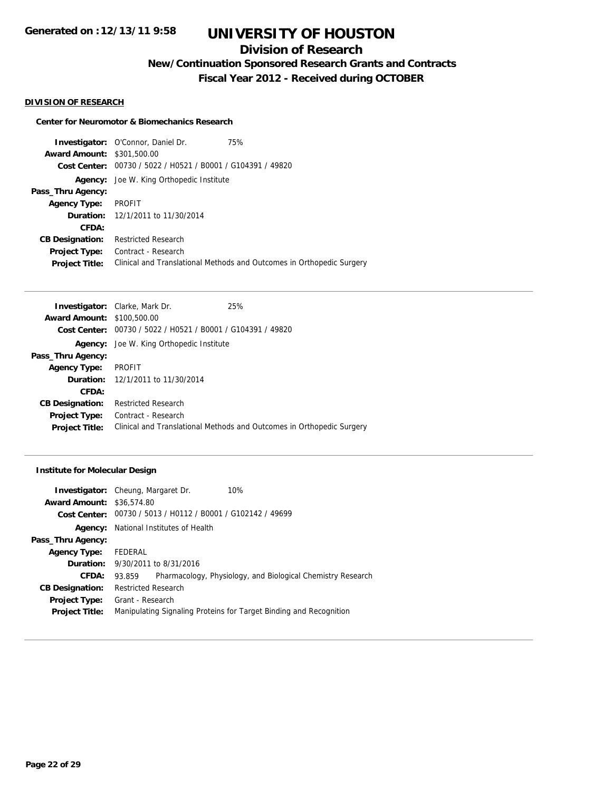# **Division of Research**

**New/Continuation Sponsored Research Grants and Contracts**

**Fiscal Year 2012 - Received during OCTOBER**

## **DIVISION OF RESEARCH**

### **Center for Neuromotor & Biomechanics Research**

**Investigator:** O'Connor, Daniel Dr. 75% **Award Amount:** \$301,500.00 **Cost Center:** 00730 / 5022 / H0521 / B0001 / G104391 / 49820 **Agency:** Joe W. King Orthopedic Institute **Pass\_Thru Agency: Agency Type:** PROFIT **Duration:** 12/1/2011 to 11/30/2014 **CFDA: CB Designation:** Restricted Research **Project Type:** Contract - Research **Project Title:** Clinical and Translational Methods and Outcomes in Orthopedic Surgery

|                                   | <b>Investigator:</b> Clarke, Mark Dr.                       | 25%                                                                   |
|-----------------------------------|-------------------------------------------------------------|-----------------------------------------------------------------------|
| <b>Award Amount: \$100,500.00</b> |                                                             |                                                                       |
|                                   | Cost Center: 00730 / 5022 / H0521 / B0001 / G104391 / 49820 |                                                                       |
|                                   | <b>Agency:</b> Joe W. King Orthopedic Institute             |                                                                       |
| Pass_Thru Agency:                 |                                                             |                                                                       |
| <b>Agency Type:</b>               | <b>PROFIT</b>                                               |                                                                       |
|                                   | <b>Duration:</b> 12/1/2011 to 11/30/2014                    |                                                                       |
| CFDA:                             |                                                             |                                                                       |
| <b>CB Designation:</b>            | <b>Restricted Research</b>                                  |                                                                       |
| <b>Project Type:</b>              | Contract - Research                                         |                                                                       |
| <b>Project Title:</b>             |                                                             | Clinical and Translational Methods and Outcomes in Orthopedic Surgery |
|                                   |                                                             |                                                                       |

#### **Institute for Molecular Design**

|                                  | <b>Investigator:</b> Cheung, Margaret Dr.                   | 10%                                                                |  |
|----------------------------------|-------------------------------------------------------------|--------------------------------------------------------------------|--|
| <b>Award Amount: \$36,574.80</b> |                                                             |                                                                    |  |
|                                  | Cost Center: 00730 / 5013 / H0112 / B0001 / G102142 / 49699 |                                                                    |  |
|                                  | <b>Agency:</b> National Institutes of Health                |                                                                    |  |
| Pass_Thru Agency:                |                                                             |                                                                    |  |
| <b>Agency Type:</b>              | FEDERAL                                                     |                                                                    |  |
|                                  | <b>Duration:</b> 9/30/2011 to 8/31/2016                     |                                                                    |  |
| CFDA:                            | 93.859                                                      | Pharmacology, Physiology, and Biological Chemistry Research        |  |
| <b>CB Designation:</b>           | <b>Restricted Research</b>                                  |                                                                    |  |
| <b>Project Type:</b>             | Grant - Research                                            |                                                                    |  |
| <b>Project Title:</b>            |                                                             | Manipulating Signaling Proteins for Target Binding and Recognition |  |
|                                  |                                                             |                                                                    |  |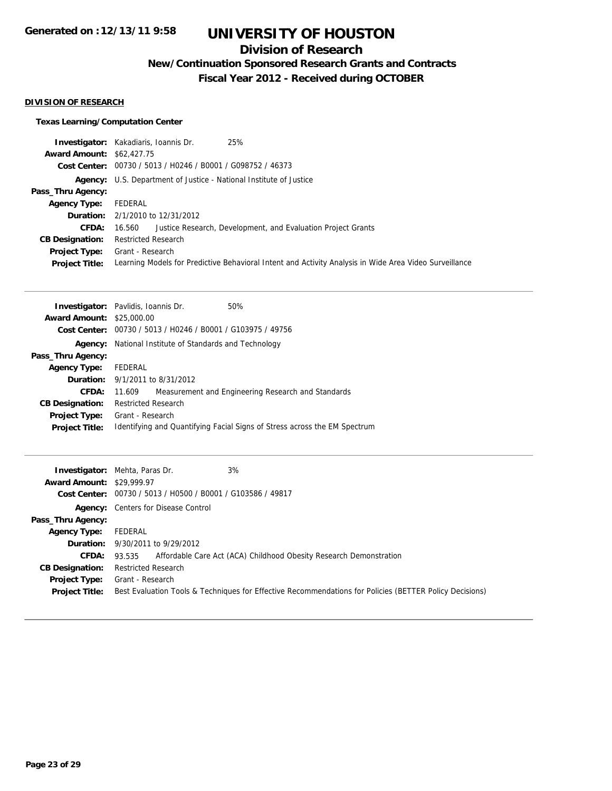# **Division of Research**

**New/Continuation Sponsored Research Grants and Contracts**

**Fiscal Year 2012 - Received during OCTOBER**

## **DIVISION OF RESEARCH**

## **Texas Learning/Computation Center**

|                                  | 25%<br><b>Investigator:</b> Kakadiaris, Ioannis Dr.                                                    |
|----------------------------------|--------------------------------------------------------------------------------------------------------|
| <b>Award Amount: \$62,427.75</b> |                                                                                                        |
|                                  | Cost Center: 00730 / 5013 / H0246 / B0001 / G098752 / 46373                                            |
|                                  | <b>Agency:</b> U.S. Department of Justice - National Institute of Justice                              |
| Pass_Thru Agency:                |                                                                                                        |
| <b>Agency Type:</b>              | FEDERAL                                                                                                |
|                                  | <b>Duration:</b> 2/1/2010 to 12/31/2012                                                                |
| CFDA:                            | Justice Research, Development, and Evaluation Project Grants<br>16.560                                 |
| <b>CB Designation:</b>           | <b>Restricted Research</b>                                                                             |
| Project Type:                    | Grant - Research                                                                                       |
| <b>Project Title:</b>            | Learning Models for Predictive Behavioral Intent and Activity Analysis in Wide Area Video Surveillance |

|                                  | <b>Investigator:</b> Pavlidis, Ioannis Dr.                  | 50%                                                                       |  |
|----------------------------------|-------------------------------------------------------------|---------------------------------------------------------------------------|--|
| <b>Award Amount: \$25,000.00</b> |                                                             |                                                                           |  |
|                                  | Cost Center: 00730 / 5013 / H0246 / B0001 / G103975 / 49756 |                                                                           |  |
| Agency:                          | National Institute of Standards and Technology              |                                                                           |  |
| Pass_Thru Agency:                |                                                             |                                                                           |  |
| <b>Agency Type:</b>              | FEDERAL                                                     |                                                                           |  |
|                                  | <b>Duration:</b> 9/1/2011 to 8/31/2012                      |                                                                           |  |
| CFDA:                            | 11.609                                                      | Measurement and Engineering Research and Standards                        |  |
| <b>CB Designation:</b>           | <b>Restricted Research</b>                                  |                                                                           |  |
| <b>Project Type:</b>             | Grant - Research                                            |                                                                           |  |
| <b>Project Title:</b>            |                                                             | Identifying and Quantifying Facial Signs of Stress across the EM Spectrum |  |
|                                  |                                                             |                                                                           |  |

| <b>Award Amount: \$29,999.97</b> | 3%<br><b>Investigator:</b> Mehta, Paras Dr.                                                             |
|----------------------------------|---------------------------------------------------------------------------------------------------------|
|                                  | Cost Center: 00730 / 5013 / H0500 / B0001 / G103586 / 49817                                             |
|                                  |                                                                                                         |
|                                  | <b>Agency:</b> Centers for Disease Control                                                              |
| Pass_Thru Agency:                |                                                                                                         |
| <b>Agency Type:</b>              | FEDERAL                                                                                                 |
|                                  | <b>Duration:</b> 9/30/2011 to 9/29/2012                                                                 |
| <b>CFDA:</b>                     | Affordable Care Act (ACA) Childhood Obesity Research Demonstration<br>93.535                            |
| <b>CB Designation:</b>           | <b>Restricted Research</b>                                                                              |
| Project Type:                    | Grant - Research                                                                                        |
| <b>Project Title:</b>            | Best Evaluation Tools & Techniques for Effective Recommendations for Policies (BETTER Policy Decisions) |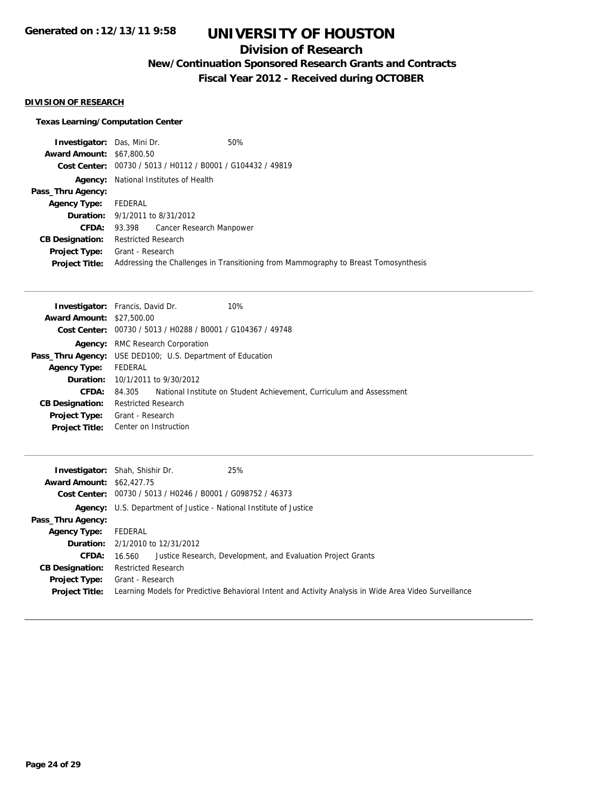## **Division of Research**

**New/Continuation Sponsored Research Grants and Contracts**

**Fiscal Year 2012 - Received during OCTOBER**

## **DIVISION OF RESEARCH**

## **Texas Learning/Computation Center**

| <b>Investigator:</b> Das, Mini Dr. |                                                             | 50%                                                                                 |  |
|------------------------------------|-------------------------------------------------------------|-------------------------------------------------------------------------------------|--|
| <b>Award Amount: \$67,800.50</b>   |                                                             |                                                                                     |  |
|                                    | Cost Center: 00730 / 5013 / H0112 / B0001 / G104432 / 49819 |                                                                                     |  |
|                                    | <b>Agency:</b> National Institutes of Health                |                                                                                     |  |
| Pass_Thru Agency:                  |                                                             |                                                                                     |  |
| <b>Agency Type:</b>                | FEDERAL                                                     |                                                                                     |  |
|                                    | <b>Duration:</b> 9/1/2011 to 8/31/2012                      |                                                                                     |  |
|                                    | <b>CFDA:</b> 93.398 Cancer Research Manpower                |                                                                                     |  |
| <b>CB Designation:</b>             | Restricted Research                                         |                                                                                     |  |
|                                    | <b>Project Type:</b> Grant - Research                       |                                                                                     |  |
| <b>Project Title:</b>              |                                                             | Addressing the Challenges in Transitioning from Mammography to Breast Tomosynthesis |  |

| <b>Investigator:</b> Francis, David Dr.                           |                            |                                                             | 10%                                                                  |
|-------------------------------------------------------------------|----------------------------|-------------------------------------------------------------|----------------------------------------------------------------------|
| <b>Award Amount: \$27,500.00</b>                                  |                            |                                                             |                                                                      |
|                                                                   |                            | Cost Center: 00730 / 5013 / H0288 / B0001 / G104367 / 49748 |                                                                      |
| Agency:                                                           |                            | RMC Research Corporation                                    |                                                                      |
| <b>Pass_Thru Agency:</b> USE DED100; U.S. Department of Education |                            |                                                             |                                                                      |
| <b>Agency Type:</b>                                               | FEDERAL                    |                                                             |                                                                      |
|                                                                   |                            | <b>Duration:</b> $10/1/2011$ to $9/30/2012$                 |                                                                      |
| <b>CFDA:</b>                                                      | 84.305                     |                                                             | National Institute on Student Achievement, Curriculum and Assessment |
| <b>CB Designation:</b>                                            | <b>Restricted Research</b> |                                                             |                                                                      |
| Project Type:                                                     | Grant - Research           |                                                             |                                                                      |
| <b>Project Title:</b>                                             | Center on Instruction      |                                                             |                                                                      |

| <b>Award Amount: \$62,427.75</b>              | 25%<br><b>Investigator:</b> Shah, Shishir Dr.<br>Cost Center: 00730 / 5013 / H0246 / B0001 / G098752 / 46373               |
|-----------------------------------------------|----------------------------------------------------------------------------------------------------------------------------|
|                                               | <b>Agency:</b> U.S. Department of Justice - National Institute of Justice                                                  |
| Pass_Thru Agency:                             |                                                                                                                            |
| Agency Type:                                  | FEDERAL                                                                                                                    |
|                                               | <b>Duration:</b> 2/1/2010 to 12/31/2012                                                                                    |
| <b>CFDA:</b>                                  | Justice Research, Development, and Evaluation Project Grants<br>16.560                                                     |
| <b>CB Designation:</b>                        | <b>Restricted Research</b>                                                                                                 |
| <b>Project Type:</b><br><b>Project Title:</b> | Grant - Research<br>Learning Models for Predictive Behavioral Intent and Activity Analysis in Wide Area Video Surveillance |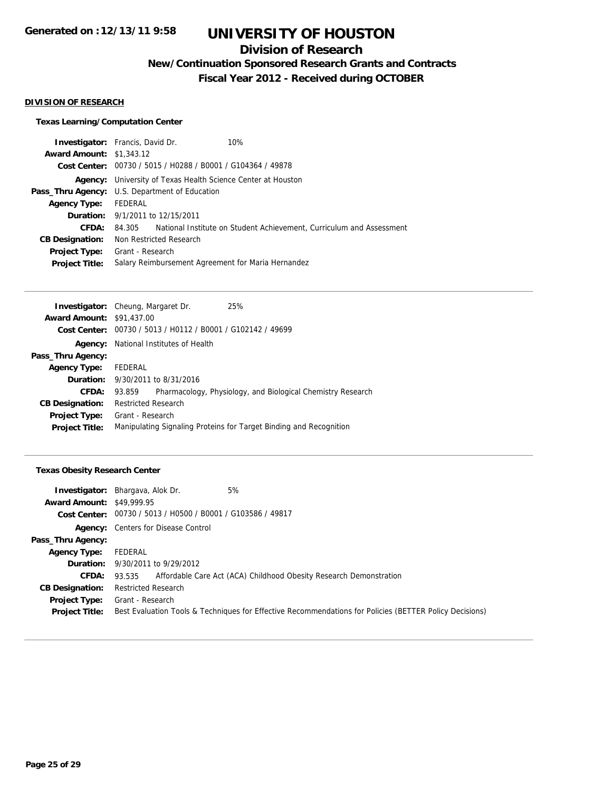# **Division of Research**

**New/Continuation Sponsored Research Grants and Contracts**

**Fiscal Year 2012 - Received during OCTOBER**

#### **DIVISION OF RESEARCH**

## **Texas Learning/Computation Center**

| <b>Investigator:</b> Francis, David Dr. |                                                                     |                                         | 10%                                                                         |  |
|-----------------------------------------|---------------------------------------------------------------------|-----------------------------------------|-----------------------------------------------------------------------------|--|
| <b>Award Amount: \$1,343.12</b>         |                                                                     |                                         |                                                                             |  |
|                                         | Cost Center: 00730 / 5015 / H0288 / B0001 / G104364 / 49878         |                                         |                                                                             |  |
|                                         | <b>Agency:</b> University of Texas Health Science Center at Houston |                                         |                                                                             |  |
|                                         | <b>Pass_Thru Agency:</b> U.S. Department of Education               |                                         |                                                                             |  |
| <b>Agency Type:</b>                     | FEDERAL                                                             |                                         |                                                                             |  |
|                                         |                                                                     | <b>Duration:</b> 9/1/2011 to 12/15/2011 |                                                                             |  |
| CFDA:                                   |                                                                     |                                         | 84.305 National Institute on Student Achievement, Curriculum and Assessment |  |
| <b>CB Designation:</b>                  |                                                                     | Non Restricted Research                 |                                                                             |  |
| <b>Project Type:</b>                    | Grant - Research                                                    |                                         |                                                                             |  |
| <b>Project Title:</b>                   |                                                                     |                                         | Salary Reimbursement Agreement for Maria Hernandez                          |  |

| <b>Investigator:</b> Cheung, Margaret Dr. |                                              |                                                             | 25%                                                                |
|-------------------------------------------|----------------------------------------------|-------------------------------------------------------------|--------------------------------------------------------------------|
| <b>Award Amount: \$91,437.00</b>          |                                              |                                                             |                                                                    |
|                                           |                                              | Cost Center: 00730 / 5013 / H0112 / B0001 / G102142 / 49699 |                                                                    |
|                                           | <b>Agency:</b> National Institutes of Health |                                                             |                                                                    |
| Pass_Thru Agency:                         |                                              |                                                             |                                                                    |
| <b>Agency Type:</b>                       | FEDERAL                                      |                                                             |                                                                    |
|                                           |                                              | <b>Duration:</b> 9/30/2011 to 8/31/2016                     |                                                                    |
| CFDA:                                     | 93.859                                       |                                                             | Pharmacology, Physiology, and Biological Chemistry Research        |
| <b>CB Designation:</b>                    | <b>Restricted Research</b>                   |                                                             |                                                                    |
| <b>Project Type:</b>                      | Grant - Research                             |                                                             |                                                                    |
| <b>Project Title:</b>                     |                                              |                                                             | Manipulating Signaling Proteins for Target Binding and Recognition |
|                                           |                                              |                                                             |                                                                    |

## **Texas Obesity Research Center**

|                                  | 5%<br><b>Investigator:</b> Bhargava, Alok Dr.                                                           |
|----------------------------------|---------------------------------------------------------------------------------------------------------|
| <b>Award Amount: \$49,999.95</b> |                                                                                                         |
|                                  | Cost Center: 00730 / 5013 / H0500 / B0001 / G103586 / 49817                                             |
|                                  | <b>Agency:</b> Centers for Disease Control                                                              |
| Pass_Thru Agency:                |                                                                                                         |
| <b>Agency Type:</b>              | FEDERAL                                                                                                 |
|                                  | <b>Duration:</b> $9/30/2011$ to $9/29/2012$                                                             |
| <b>CFDA:</b>                     | Affordable Care Act (ACA) Childhood Obesity Research Demonstration<br>93.535                            |
| <b>CB Designation:</b>           | <b>Restricted Research</b>                                                                              |
| Project Type:                    | Grant - Research                                                                                        |
| <b>Project Title:</b>            | Best Evaluation Tools & Techniques for Effective Recommendations for Policies (BETTER Policy Decisions) |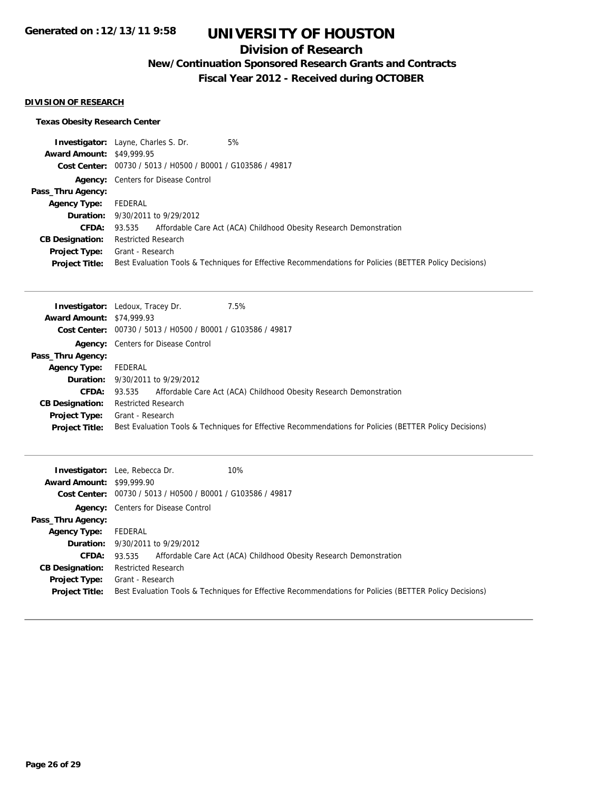# **Division of Research**

**New/Continuation Sponsored Research Grants and Contracts**

**Fiscal Year 2012 - Received during OCTOBER**

## **DIVISION OF RESEARCH**

## **Texas Obesity Research Center**

|                                  | 5%<br><b>Investigator:</b> Layne, Charles S. Dr.                                                        |
|----------------------------------|---------------------------------------------------------------------------------------------------------|
| <b>Award Amount: \$49,999.95</b> |                                                                                                         |
|                                  | Cost Center: 00730 / 5013 / H0500 / B0001 / G103586 / 49817                                             |
|                                  | <b>Agency:</b> Centers for Disease Control                                                              |
| Pass_Thru Agency:                |                                                                                                         |
| <b>Agency Type:</b>              | FEDERAL                                                                                                 |
|                                  | <b>Duration:</b> 9/30/2011 to 9/29/2012                                                                 |
|                                  | <b>CFDA:</b> 93.535 Affordable Care Act (ACA) Childhood Obesity Research Demonstration                  |
| <b>CB Designation:</b>           | <b>Restricted Research</b>                                                                              |
| Project Type:                    | Grant - Research                                                                                        |
| <b>Project Title:</b>            | Best Evaluation Tools & Techniques for Effective Recommendations for Policies (BETTER Policy Decisions) |

|                                  | 7.5%<br><b>Investigator:</b> Ledoux, Tracey Dr.                                                         |
|----------------------------------|---------------------------------------------------------------------------------------------------------|
| <b>Award Amount: \$74,999.93</b> |                                                                                                         |
|                                  | Cost Center: 00730 / 5013 / H0500 / B0001 / G103586 / 49817                                             |
|                                  | <b>Agency:</b> Centers for Disease Control                                                              |
| Pass_Thru Agency:                |                                                                                                         |
| <b>Agency Type:</b>              | FEDERAL                                                                                                 |
|                                  | <b>Duration:</b> 9/30/2011 to 9/29/2012                                                                 |
| <b>CFDA:</b>                     | Affordable Care Act (ACA) Childhood Obesity Research Demonstration<br>93.535                            |
| <b>CB Designation:</b>           | <b>Restricted Research</b>                                                                              |
| Project Type:                    | Grant - Research                                                                                        |
| <b>Project Title:</b>            | Best Evaluation Tools & Techniques for Effective Recommendations for Policies (BETTER Policy Decisions) |

| <b>Award Amount: \$99,999.90</b> | 10%<br><b>Investigator:</b> Lee, Rebecca Dr.<br>Cost Center: 00730 / 5013 / H0500 / B0001 / G103586 / 49817 |
|----------------------------------|-------------------------------------------------------------------------------------------------------------|
|                                  | <b>Agency:</b> Centers for Disease Control                                                                  |
| Pass_Thru Agency:                |                                                                                                             |
| <b>Agency Type:</b>              | FEDERAL                                                                                                     |
|                                  | <b>Duration:</b> 9/30/2011 to 9/29/2012                                                                     |
| <b>CFDA:</b>                     | Affordable Care Act (ACA) Childhood Obesity Research Demonstration<br>93.535                                |
| <b>CB Designation:</b>           | <b>Restricted Research</b>                                                                                  |
| <b>Project Type:</b>             | Grant - Research                                                                                            |
| <b>Project Title:</b>            | Best Evaluation Tools & Techniques for Effective Recommendations for Policies (BETTER Policy Decisions)     |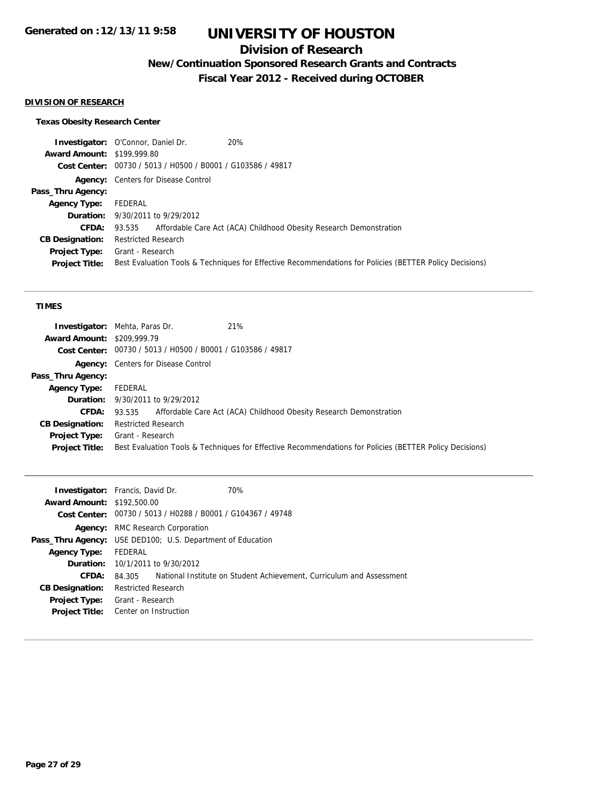# **Division of Research**

**New/Continuation Sponsored Research Grants and Contracts**

**Fiscal Year 2012 - Received during OCTOBER**

## **DIVISION OF RESEARCH**

## **Texas Obesity Research Center**

|                                   | <b>Investigator:</b> O'Connor, Daniel Dr.<br>20%                                                        |
|-----------------------------------|---------------------------------------------------------------------------------------------------------|
| <b>Award Amount: \$199,999.80</b> |                                                                                                         |
|                                   | Cost Center: 00730 / 5013 / H0500 / B0001 / G103586 / 49817                                             |
|                                   | <b>Agency:</b> Centers for Disease Control                                                              |
| Pass_Thru Agency:                 |                                                                                                         |
| <b>Agency Type:</b>               | FEDERAL                                                                                                 |
|                                   | <b>Duration:</b> 9/30/2011 to 9/29/2012                                                                 |
| <b>CFDA:</b>                      | 93.535 Affordable Care Act (ACA) Childhood Obesity Research Demonstration                               |
| <b>CB Designation:</b>            | <b>Restricted Research</b>                                                                              |
| Project Type:                     | Grant - Research                                                                                        |
| <b>Project Title:</b>             | Best Evaluation Tools & Techniques for Effective Recommendations for Policies (BETTER Policy Decisions) |

#### **TIMES**

|                                   | <b>Investigator:</b> Mehta, Paras Dr.<br>21%                                                            |
|-----------------------------------|---------------------------------------------------------------------------------------------------------|
| <b>Award Amount: \$209,999.79</b> |                                                                                                         |
|                                   | Cost Center: 00730 / 5013 / H0500 / B0001 / G103586 / 49817                                             |
|                                   | <b>Agency:</b> Centers for Disease Control                                                              |
| Pass_Thru Agency:                 |                                                                                                         |
| <b>Agency Type:</b>               | FEDERAL                                                                                                 |
|                                   | <b>Duration:</b> 9/30/2011 to 9/29/2012                                                                 |
| <b>CFDA:</b>                      | 93.535 Affordable Care Act (ACA) Childhood Obesity Research Demonstration                               |
| <b>CB Designation:</b>            | <b>Restricted Research</b>                                                                              |
| Project Type:                     | Grant - Research                                                                                        |
| <b>Project Title:</b>             | Best Evaluation Tools & Techniques for Effective Recommendations for Policies (BETTER Policy Decisions) |
|                                   |                                                                                                         |

| <b>Investigator:</b> Francis, David Dr.<br>70%                    |                                                                      |
|-------------------------------------------------------------------|----------------------------------------------------------------------|
| <b>Award Amount: \$192,500.00</b>                                 |                                                                      |
| Cost Center: 00730 / 5013 / H0288 / B0001 / G104367 / 49748       |                                                                      |
| <b>Agency:</b> RMC Research Corporation                           |                                                                      |
| <b>Pass_Thru Agency:</b> USE DED100; U.S. Department of Education |                                                                      |
| FEDERAL                                                           |                                                                      |
| <b>Duration:</b> 10/1/2011 to 9/30/2012                           |                                                                      |
| 84.305                                                            |                                                                      |
| <b>Restricted Research</b>                                        |                                                                      |
| Grant - Research<br><b>Project Type:</b>                          |                                                                      |
| Center on Instruction<br><b>Project Title:</b>                    |                                                                      |
|                                                                   | National Institute on Student Achievement, Curriculum and Assessment |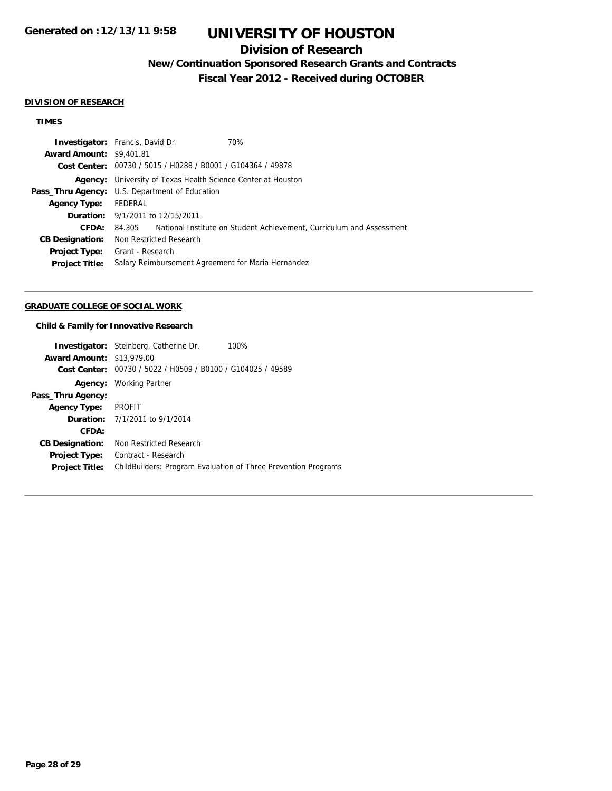# **Division of Research**

## **New/Continuation Sponsored Research Grants and Contracts**

**Fiscal Year 2012 - Received during OCTOBER**

#### **DIVISION OF RESEARCH**

## **TIMES**

| <b>Investigator:</b> Francis, David Dr. |                                                                     |  | 70%                                                                  |  |
|-----------------------------------------|---------------------------------------------------------------------|--|----------------------------------------------------------------------|--|
| <b>Award Amount: \$9,401.81</b>         |                                                                     |  |                                                                      |  |
|                                         | Cost Center: 00730 / 5015 / H0288 / B0001 / G104364 / 49878         |  |                                                                      |  |
|                                         | <b>Agency:</b> University of Texas Health Science Center at Houston |  |                                                                      |  |
|                                         | <b>Pass_Thru Agency:</b> U.S. Department of Education               |  |                                                                      |  |
| <b>Agency Type:</b>                     | FEDERAL                                                             |  |                                                                      |  |
|                                         | <b>Duration:</b> 9/1/2011 to 12/15/2011                             |  |                                                                      |  |
| CFDA:                                   | 84.305                                                              |  | National Institute on Student Achievement, Curriculum and Assessment |  |
| <b>CB Designation:</b>                  | Non Restricted Research                                             |  |                                                                      |  |
| <b>Project Type:</b>                    | Grant - Research                                                    |  |                                                                      |  |
| <b>Project Title:</b>                   |                                                                     |  | Salary Reimbursement Agreement for Maria Hernandez                   |  |
|                                         |                                                                     |  |                                                                      |  |

## **GRADUATE COLLEGE OF SOCIAL WORK**

### **Child & Family for Innovative Research**

|                                  | <b>Investigator:</b> Steinberg, Catherine Dr.               | 100%                                                                  |
|----------------------------------|-------------------------------------------------------------|-----------------------------------------------------------------------|
| <b>Award Amount: \$13,979.00</b> |                                                             |                                                                       |
|                                  | Cost Center: 00730 / 5022 / H0509 / B0100 / G104025 / 49589 |                                                                       |
| Agency:                          | Working Partner                                             |                                                                       |
| Pass_Thru Agency:                |                                                             |                                                                       |
| <b>Agency Type:</b>              | <b>PROFIT</b>                                               |                                                                       |
|                                  | <b>Duration:</b> 7/1/2011 to 9/1/2014                       |                                                                       |
| CFDA:                            |                                                             |                                                                       |
| <b>CB Designation:</b>           | Non Restricted Research                                     |                                                                       |
| <b>Project Type:</b>             | Contract - Research                                         |                                                                       |
| <b>Project Title:</b>            |                                                             | <b>ChildBuilders: Program Evaluation of Three Prevention Programs</b> |